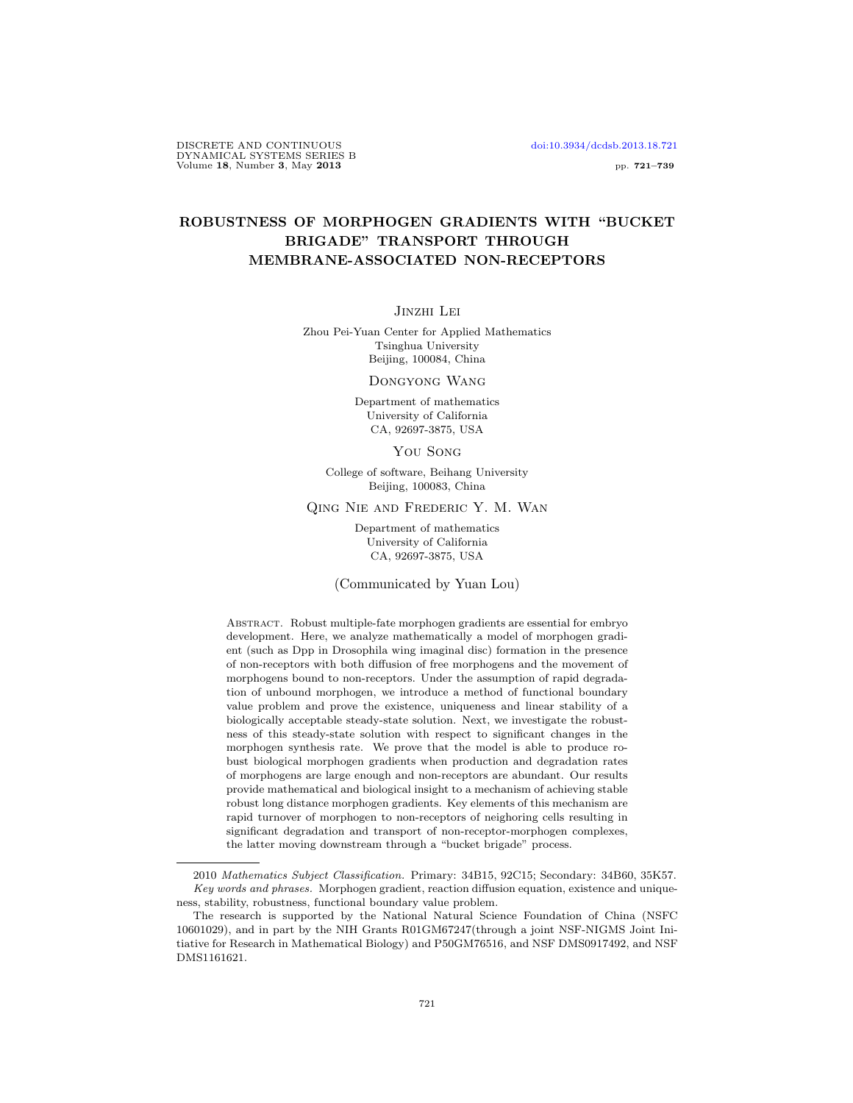## ROBUSTNESS OF MORPHOGEN GRADIENTS WITH "BUCKET BRIGADE" TRANSPORT THROUGH MEMBRANE-ASSOCIATED NON-RECEPTORS

Jinzhi Lei

Zhou Pei-Yuan Center for Applied Mathematics Tsinghua University Beijing, 100084, China

Dongyong Wang

Department of mathematics University of California CA, 92697-3875, USA

You Song

College of software, Beihang University Beijing, 100083, China

Qing Nie and Frederic Y. M. Wan

Department of mathematics University of California CA, 92697-3875, USA

(Communicated by Yuan Lou)

Abstract. Robust multiple-fate morphogen gradients are essential for embryo development. Here, we analyze mathematically a model of morphogen gradient (such as Dpp in Drosophila wing imaginal disc) formation in the presence of non-receptors with both diffusion of free morphogens and the movement of morphogens bound to non-receptors. Under the assumption of rapid degradation of unbound morphogen, we introduce a method of functional boundary value problem and prove the existence, uniqueness and linear stability of a biologically acceptable steady-state solution. Next, we investigate the robustness of this steady-state solution with respect to significant changes in the morphogen synthesis rate. We prove that the model is able to produce robust biological morphogen gradients when production and degradation rates of morphogens are large enough and non-receptors are abundant. Our results provide mathematical and biological insight to a mechanism of achieving stable robust long distance morphogen gradients. Key elements of this mechanism are rapid turnover of morphogen to non-receptors of neighoring cells resulting in significant degradation and transport of non-receptor-morphogen complexes, the latter moving downstream through a "bucket brigade" process.

<sup>2010</sup> Mathematics Subject Classification. Primary: 34B15, 92C15; Secondary: 34B60, 35K57. Key words and phrases. Morphogen gradient, reaction diffusion equation, existence and uniqueness, stability, robustness, functional boundary value problem.

The research is supported by the National Natural Science Foundation of China (NSFC 10601029), and in part by the NIH Grants R01GM67247(through a joint NSF-NIGMS Joint Initiative for Research in Mathematical Biology) and P50GM76516, and NSF DMS0917492, and NSF DMS1161621.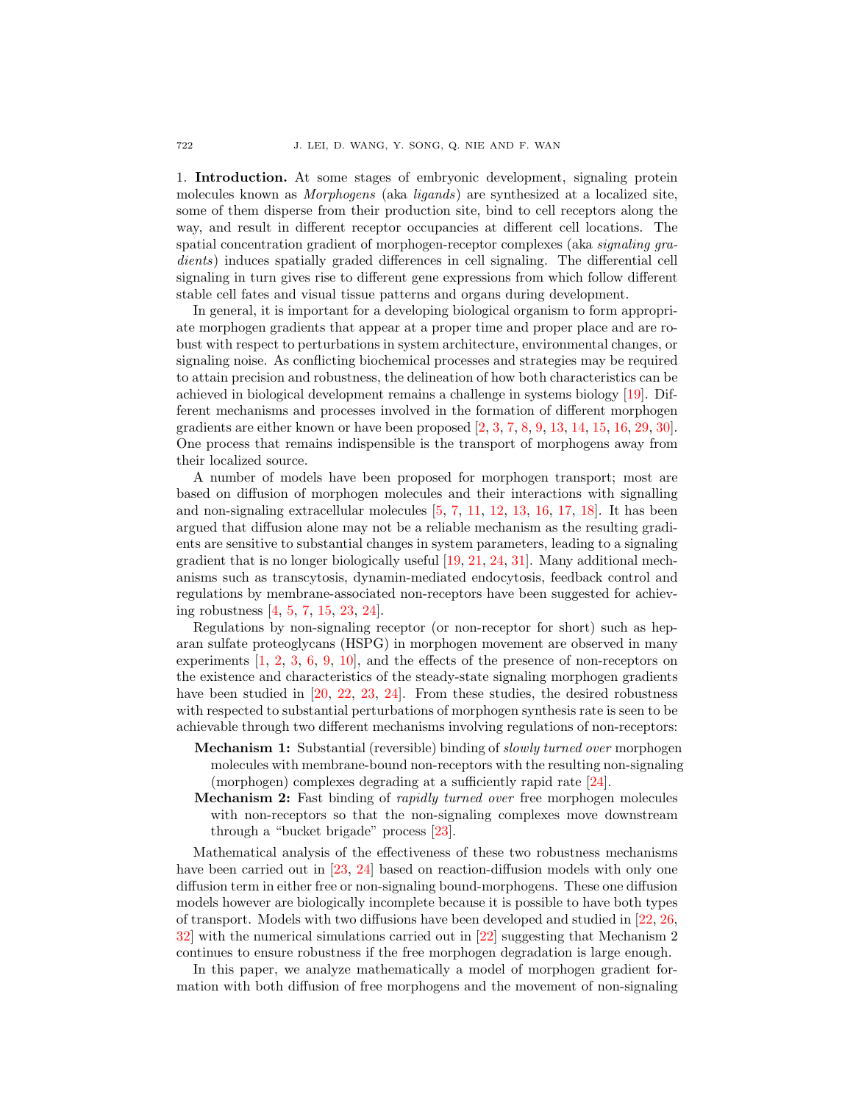1. Introduction. At some stages of embryonic development, signaling protein molecules known as Morphogens (aka ligands) are synthesized at a localized site, some of them disperse from their production site, bind to cell receptors along the way, and result in different receptor occupancies at different cell locations. The spatial concentration gradient of morphogen-receptor complexes (aka signaling gradients) induces spatially graded differences in cell signaling. The differential cell signaling in turn gives rise to different gene expressions from which follow different stable cell fates and visual tissue patterns and organs during development.

In general, it is important for a developing biological organism to form appropriate morphogen gradients that appear at a proper time and proper place and are robust with respect to perturbations in system architecture, environmental changes, or signaling noise. As conflicting biochemical processes and strategies may be required to attain precision and robustness, the delineation of how both characteristics can be achieved in biological development remains a challenge in systems biology [\[19\]](#page-18-0). Different mechanisms and processes involved in the formation of different morphogen gradients are either known or have been proposed [\[2,](#page-17-0) [3,](#page-17-1) [7,](#page-17-2) [8,](#page-17-3) [9,](#page-17-4) [13,](#page-17-5) [14,](#page-17-6) [15,](#page-18-1) [16,](#page-18-2) [29,](#page-18-3) [30\]](#page-18-4). One process that remains indispensible is the transport of morphogens away from their localized source.

A number of models have been proposed for morphogen transport; most are based on diffusion of morphogen molecules and their interactions with signalling and non-signaling extracellular molecules [\[5,](#page-17-7) [7,](#page-17-2) [11,](#page-17-8) [12,](#page-17-9) [13,](#page-17-5) [16,](#page-18-2) [17,](#page-18-5) [18\]](#page-18-6). It has been argued that diffusion alone may not be a reliable mechanism as the resulting gradients are sensitive to substantial changes in system parameters, leading to a signaling gradient that is no longer biologically useful [\[19,](#page-18-0) [21,](#page-18-7) [24,](#page-18-8) [31\]](#page-18-9). Many additional mechanisms such as transcytosis, dynamin-mediated endocytosis, feedback control and regulations by membrane-associated non-receptors have been suggested for achieving robustness [\[4,](#page-17-10) [5,](#page-17-7) [7,](#page-17-2) [15,](#page-18-1) [23,](#page-18-10) [24\]](#page-18-8).

Regulations by non-signaling receptor (or non-receptor for short) such as heparan sulfate proteoglycans (HSPG) in morphogen movement are observed in many experiments [\[1,](#page-17-11) [2,](#page-17-0) [3,](#page-17-1) [6,](#page-17-12) [9,](#page-17-4) [10\]](#page-17-13), and the effects of the presence of non-receptors on the existence and characteristics of the steady-state signaling morphogen gradients have been studied in [\[20,](#page-18-11) [22,](#page-18-12) [23,](#page-18-10) [24\]](#page-18-8). From these studies, the desired robustness with respected to substantial perturbations of morphogen synthesis rate is seen to be achievable through two different mechanisms involving regulations of non-receptors:

- Mechanism 1: Substantial (reversible) binding of slowly turned over morphogen molecules with membrane-bound non-receptors with the resulting non-signaling (morphogen) complexes degrading at a sufficiently rapid rate [\[24\]](#page-18-8).
- Mechanism 2: Fast binding of rapidly turned over free morphogen molecules with non-receptors so that the non-signaling complexes move downstream through a "bucket brigade" process [\[23\]](#page-18-10).

Mathematical analysis of the effectiveness of these two robustness mechanisms have been carried out in [\[23,](#page-18-10) [24\]](#page-18-8) based on reaction-diffusion models with only one diffusion term in either free or non-signaling bound-morphogens. These one diffusion models however are biologically incomplete because it is possible to have both types of transport. Models with two diffusions have been developed and studied in [\[22,](#page-18-12) [26,](#page-18-13) [32\]](#page-18-14) with the numerical simulations carried out in [\[22\]](#page-18-12) suggesting that Mechanism 2 continues to ensure robustness if the free morphogen degradation is large enough.

In this paper, we analyze mathematically a model of morphogen gradient formation with both diffusion of free morphogens and the movement of non-signaling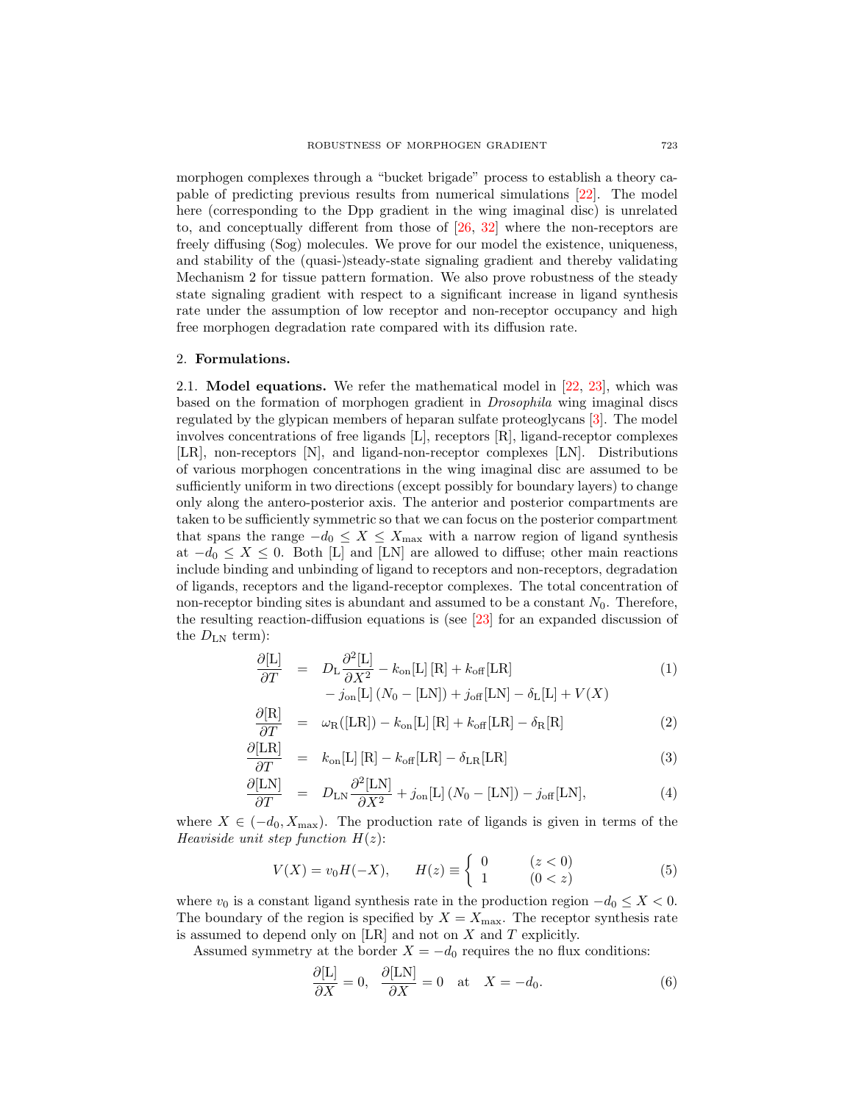morphogen complexes through a "bucket brigade" process to establish a theory capable of predicting previous results from numerical simulations [\[22\]](#page-18-12). The model here (corresponding to the Dpp gradient in the wing imaginal disc) is unrelated to, and conceptually different from those of [\[26,](#page-18-13) [32\]](#page-18-14) where the non-receptors are freely diffusing (Sog) molecules. We prove for our model the existence, uniqueness, and stability of the (quasi-)steady-state signaling gradient and thereby validating Mechanism 2 for tissue pattern formation. We also prove robustness of the steady state signaling gradient with respect to a significant increase in ligand synthesis rate under the assumption of low receptor and non-receptor occupancy and high free morphogen degradation rate compared with its diffusion rate.

#### 2. Formulations.

2.1. Model equations. We refer the mathematical model in [\[22,](#page-18-12) [23\]](#page-18-10), which was based on the formation of morphogen gradient in Drosophila wing imaginal discs regulated by the glypican members of heparan sulfate proteoglycans [\[3\]](#page-17-1). The model involves concentrations of free ligands  $[L]$ , receptors  $[R]$ , ligand-receptor complexes [LR], non-receptors [N], and ligand-non-receptor complexes [LN]. Distributions of various morphogen concentrations in the wing imaginal disc are assumed to be sufficiently uniform in two directions (except possibly for boundary layers) to change only along the antero-posterior axis. The anterior and posterior compartments are taken to be sufficiently symmetric so that we can focus on the posterior compartment that spans the range  $-d_0 \leq X \leq X_{\text{max}}$  with a narrow region of ligand synthesis at  $-d_0 \leq X \leq 0$ . Both [L] and [LN] are allowed to diffuse; other main reactions include binding and unbinding of ligand to receptors and non-receptors, degradation of ligands, receptors and the ligand-receptor complexes. The total concentration of non-receptor binding sites is abundant and assumed to be a constant  $N_0$ . Therefore, the resulting reaction-diffusion equations is (see [\[23\]](#page-18-10) for an expanded discussion of the  $D_{LN}$  term):

<span id="page-2-0"></span>
$$
\frac{\partial \left[L\right]}{\partial T} = D_{\text{L}} \frac{\partial^2 \left[L\right]}{\partial X^2} - k_{\text{on}}[L] \left[R\right] + k_{\text{off}}[LR] - j_{\text{on}}[L] \left(N_0 - [LN]\right) + j_{\text{off}}[LN] - \delta_L[L] + V(X)
$$
\n(1)

$$
\frac{\partial [\mathbf{R}]}{\partial T} = \omega_{\mathbf{R}}([\mathbf{L}\mathbf{R}]) - k_{\text{on}}[\mathbf{L}][\mathbf{R}] + k_{\text{off}}[\mathbf{L}\mathbf{R}] - \delta_{\mathbf{R}}[\mathbf{R}] \tag{2}
$$

$$
\frac{\partial [LR]}{\partial T} = k_{on}[L][R] - k_{off}[LR] - \delta_{LR}[LR]
$$
\n(3)

$$
\frac{\partial \text{[LN]}}{\partial T} = D_{\text{LN}} \frac{\partial^2 \text{[LN]}}{\partial X^2} + j_{\text{on}}[\text{L}](N_0 - [\text{LN}]) - j_{\text{off}}[\text{LN}], \tag{4}
$$

where  $X \in (-d_0, X_{\text{max}})$ . The production rate of ligands is given in terms of the Heaviside unit step function  $H(z)$ :

$$
V(X) = v_0 H(-X), \qquad H(z) \equiv \begin{cases} 0 & (z < 0) \\ 1 & (0 < z) \end{cases} \tag{5}
$$

where  $v_0$  is a constant ligand synthesis rate in the production region  $-d_0 \leq X < 0$ . The boundary of the region is specified by  $X = X_{\text{max}}$ . The receptor synthesis rate is assumed to depend only on  $[LR]$  and not on  $X$  and  $T$  explicitly.

Assumed symmetry at the border  $X = -d_0$  requires the no flux conditions:

$$
\frac{\partial[\mathcal{L}]}{\partial X} = 0, \quad \frac{\partial[\mathcal{L}\mathcal{N}]}{\partial X} = 0 \quad \text{at} \quad X = -d_0. \tag{6}
$$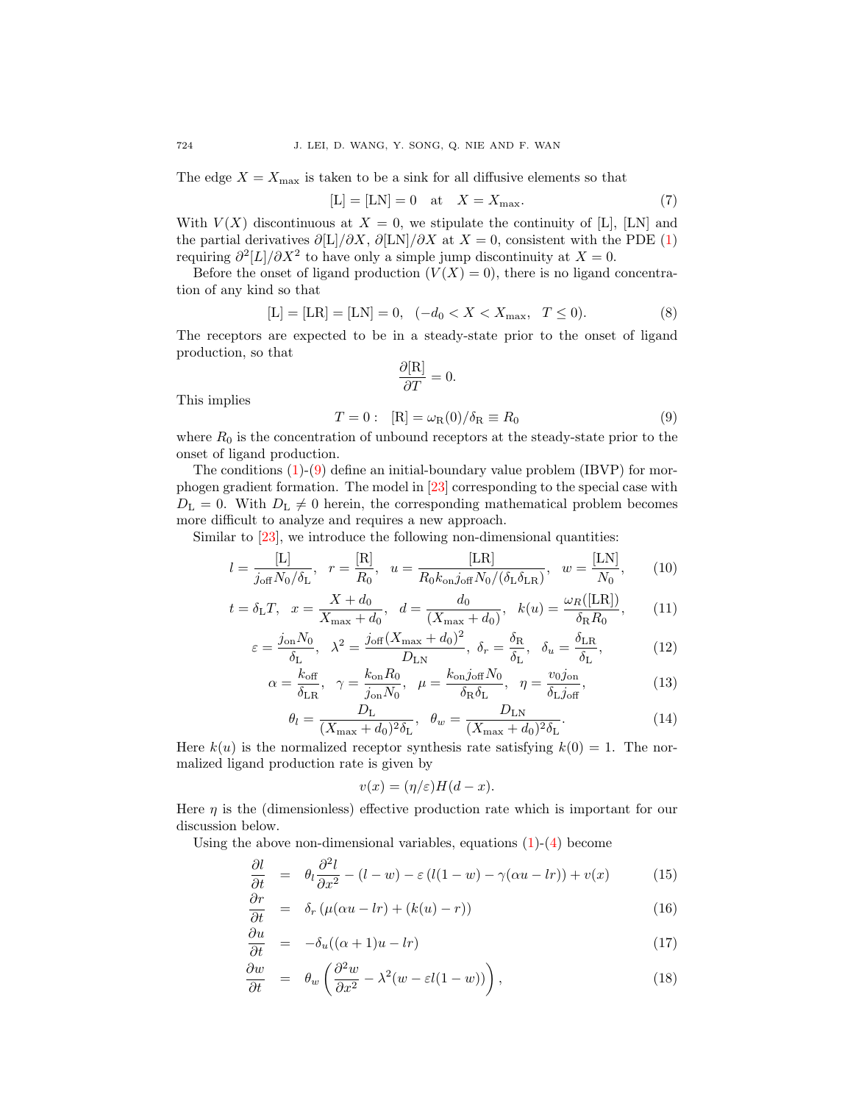The edge  $X = X_{\text{max}}$  is taken to be a sink for all diffusive elements so that

$$
[L] = [LN] = 0 \quad \text{at} \quad X = X_{\text{max}}.\tag{7}
$$

With  $V(X)$  discontinuous at  $X = 0$ , we stipulate the continuity of [L], [LN] and the partial derivatives  $\partial[L]/\partial X$ ,  $\partial[LN]/\partial X$  at  $X = 0$ , consistent with the PDE [\(1\)](#page-2-0) requiring  $\partial^2 |L|/\partial X^2$  to have only a simple jump discontinuity at  $X = 0$ .

Before the onset of ligand production  $(V(X) = 0)$ , there is no ligand concentration of any kind so that

$$
[L] = [LR] = [LN] = 0, \quad (-d_0 < X < X_{\text{max}}, \quad T \le 0). \tag{8}
$$

The receptors are expected to be in a steady-state prior to the onset of ligand production, so that

$$
\frac{\partial[\mathcal{R}]}{\partial T} = 0.
$$

This implies

<span id="page-3-0"></span>
$$
T = 0: [R] = \omega_R(0) / \delta_R \equiv R_0 \tag{9}
$$

where  $R_0$  is the concentration of unbound receptors at the steady-state prior to the onset of ligand production.

The conditions  $(1)-(9)$  $(1)-(9)$  $(1)-(9)$  define an initial-boundary value problem (IBVP) for morphogen gradient formation. The model in [\[23\]](#page-18-10) corresponding to the special case with  $D_{\rm L} = 0$ . With  $D_{\rm L} \neq 0$  herein, the corresponding mathematical problem becomes more difficult to analyze and requires a new approach.

Similar to [\[23\]](#page-18-10), we introduce the following non-dimensional quantities:

$$
l = \frac{[L]}{j_{off} N_0 / \delta_L}, \quad r = \frac{[R]}{R_0}, \quad u = \frac{[LR]}{R_0 k_{on} j_{off} N_0 / (\delta_L \delta_{LR})}, \quad w = \frac{[LN]}{N_0}, \tag{10}
$$

$$
t = \delta_{\rm L}T
$$
,  $x = \frac{X + d_0}{X_{\rm max} + d_0}$ ,  $d = \frac{d_0}{(X_{\rm max} + d_0)}$ ,  $k(u) = \frac{\omega_R([LR])}{\delta_R R_0}$ , (11)

$$
\varepsilon = \frac{j_{\text{on}} N_0}{\delta_{\text{L}}}, \quad \lambda^2 = \frac{j_{\text{off}} (X_{\text{max}} + d_0)^2}{D_{\text{LN}}}, \quad \delta_r = \frac{\delta_{\text{R}}}{\delta_{\text{L}}}, \quad \delta_u = \frac{\delta_{\text{LR}}}{\delta_{\text{L}}},\tag{12}
$$

<span id="page-3-2"></span>
$$
\alpha = \frac{k_{\text{off}}}{\delta_{\text{LR}}}, \quad \gamma = \frac{k_{\text{on}} R_0}{j_{\text{on}} N_0}, \quad \mu = \frac{k_{\text{on}} j_{\text{off}} N_0}{\delta_{\text{R}} \delta_{\text{L}}}, \quad \eta = \frac{v_{0} j_{\text{on}}}{\delta_{\text{L}} j_{\text{off}}},\tag{13}
$$

$$
\theta_l = \frac{D_{\rm L}}{(X_{\rm max} + d_0)^2 \delta_{\rm L}}, \quad \theta_w = \frac{D_{\rm LN}}{(X_{\rm max} + d_0)^2 \delta_{\rm L}}.
$$
\n(14)

Here  $k(u)$  is the normalized receptor synthesis rate satisfying  $k(0) = 1$ . The normalized ligand production rate is given by

$$
v(x) = (\eta/\varepsilon)H(d-x).
$$

Here  $\eta$  is the (dimensionless) effective production rate which is important for our discussion below.

Using the above non-dimensional variables, equations  $(1)-(4)$  $(1)-(4)$  $(1)-(4)$  become

$$
\frac{\partial l}{\partial t} = \theta_l \frac{\partial^2 l}{\partial x^2} - (l - w) - \varepsilon (l(1 - w) - \gamma(\alpha u - lr)) + v(x) \tag{15}
$$

<span id="page-3-1"></span>
$$
\frac{\partial r}{\partial t} = \delta_r \left( \mu(\alpha u - lr) + (k(u) - r) \right) \tag{16}
$$

$$
\frac{\partial u}{\partial t} = -\delta_u((\alpha+1)u - lr) \tag{17}
$$

$$
\frac{\partial w}{\partial t} = \theta_w \left( \frac{\partial^2 w}{\partial x^2} - \lambda^2 (w - \varepsilon l(1 - w)) \right),\tag{18}
$$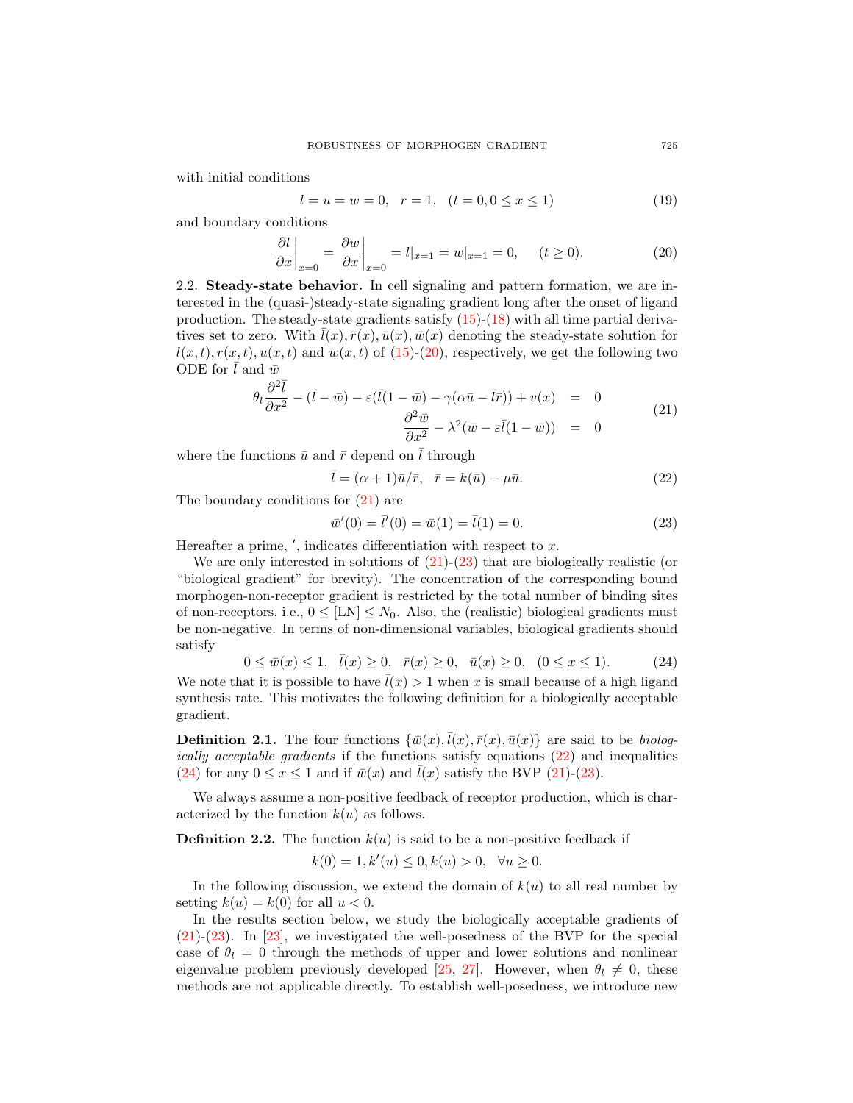with initial conditions

$$
l = u = w = 0, r = 1, (t = 0, 0 \le x \le 1)
$$
\n(19)

and boundary conditions

<span id="page-4-0"></span>
$$
\left. \frac{\partial l}{\partial x} \right|_{x=0} = \left. \frac{\partial w}{\partial x} \right|_{x=0} = l|_{x=1} = w|_{x=1} = 0, \quad (t \ge 0). \tag{20}
$$

2.2. Steady-state behavior. In cell signaling and pattern formation, we are interested in the (quasi-)steady-state signaling gradient long after the onset of ligand production. The steady-state gradients satisfy  $(15)-(18)$  $(15)-(18)$  $(15)-(18)$  with all time partial derivatives set to zero. With  $\bar{l}(x), \bar{r}(x), \bar{u}(x), \bar{w}(x)$  denoting the steady-state solution for  $l(x, t), r(x, t), u(x, t)$  and  $w(x, t)$  of [\(15\)](#page-3-1)-[\(20\)](#page-4-0), respectively, we get the following two ODE for l and  $\bar{w}$ 

<span id="page-4-1"></span>
$$
\theta_l \frac{\partial^2 \bar{l}}{\partial x^2} - (\bar{l} - \bar{w}) - \varepsilon (\bar{l} (1 - \bar{w}) - \gamma (\alpha \bar{u} - \bar{l}\bar{r})) + v(x) = 0
$$
  

$$
\frac{\partial^2 \bar{w}}{\partial x^2} - \lambda^2 (\bar{w} - \varepsilon \bar{l} (1 - \bar{w})) = 0
$$
 (21)

where the functions  $\bar{u}$  and  $\bar{r}$  depend on  $\bar{l}$  through

<span id="page-4-3"></span>
$$
\bar{l} = (\alpha + 1)\bar{u}/\bar{r}, \quad \bar{r} = k(\bar{u}) - \mu\bar{u}.
$$
\n(22)

The boundary conditions for [\(21\)](#page-4-1) are

<span id="page-4-2"></span>
$$
\bar{w}'(0) = \bar{l}'(0) = \bar{w}(1) = \bar{l}(1) = 0.
$$
\n(23)

Hereafter a prime,  $\prime$ , indicates differentiation with respect to  $x$ .

We are only interested in solutions of  $(21)-(23)$  $(21)-(23)$  $(21)-(23)$  that are biologically realistic (or "biological gradient" for brevity). The concentration of the corresponding bound morphogen-non-receptor gradient is restricted by the total number of binding sites of non-receptors, i.e.,  $0 \leq [LN] \leq N_0$ . Also, the (realistic) biological gradients must be non-negative. In terms of non-dimensional variables, biological gradients should satisfy

<span id="page-4-4"></span>
$$
0 \le \bar{w}(x) \le 1, \quad \bar{l}(x) \ge 0, \quad \bar{r}(x) \ge 0, \quad \bar{u}(x) \ge 0, \quad (0 \le x \le 1). \tag{24}
$$

We note that it is possible to have  $\bar{l}(x) > 1$  when x is small because of a high ligand synthesis rate. This motivates the following definition for a biologically acceptable gradient.

**Definition 2.1.** The four functions  $\{\bar{w}(x), \bar{l}(x), \bar{r}(x), \bar{u}(x)\}$  are said to be *biolog*ically acceptable gradients if the functions satisfy equations [\(22\)](#page-4-3) and inequalities [\(24\)](#page-4-4) for any  $0 \le x \le 1$  and if  $\bar{w}(x)$  and  $\bar{l}(x)$  satisfy the BVP [\(21\)](#page-4-1)-[\(23\)](#page-4-2).

We always assume a non-positive feedback of receptor production, which is characterized by the function  $k(u)$  as follows.

**Definition 2.2.** The function  $k(u)$  is said to be a non-positive feedback if

$$
k(0) = 1, k'(u) \le 0, k(u) > 0, \quad \forall u \ge 0.
$$

In the following discussion, we extend the domain of  $k(u)$  to all real number by setting  $k(u) = k(0)$  for all  $u < 0$ .

In the results section below, we study the biologically acceptable gradients of [\(21\)](#page-4-1)-[\(23\)](#page-4-2). In [\[23\]](#page-18-10), we investigated the well-posedness of the BVP for the special case of  $\theta_l = 0$  through the methods of upper and lower solutions and nonlinear eigenvalue problem previously developed [\[25,](#page-18-15) [27\]](#page-18-16). However, when  $\theta_l \neq 0$ , these methods are not applicable directly. To establish well-posedness, we introduce new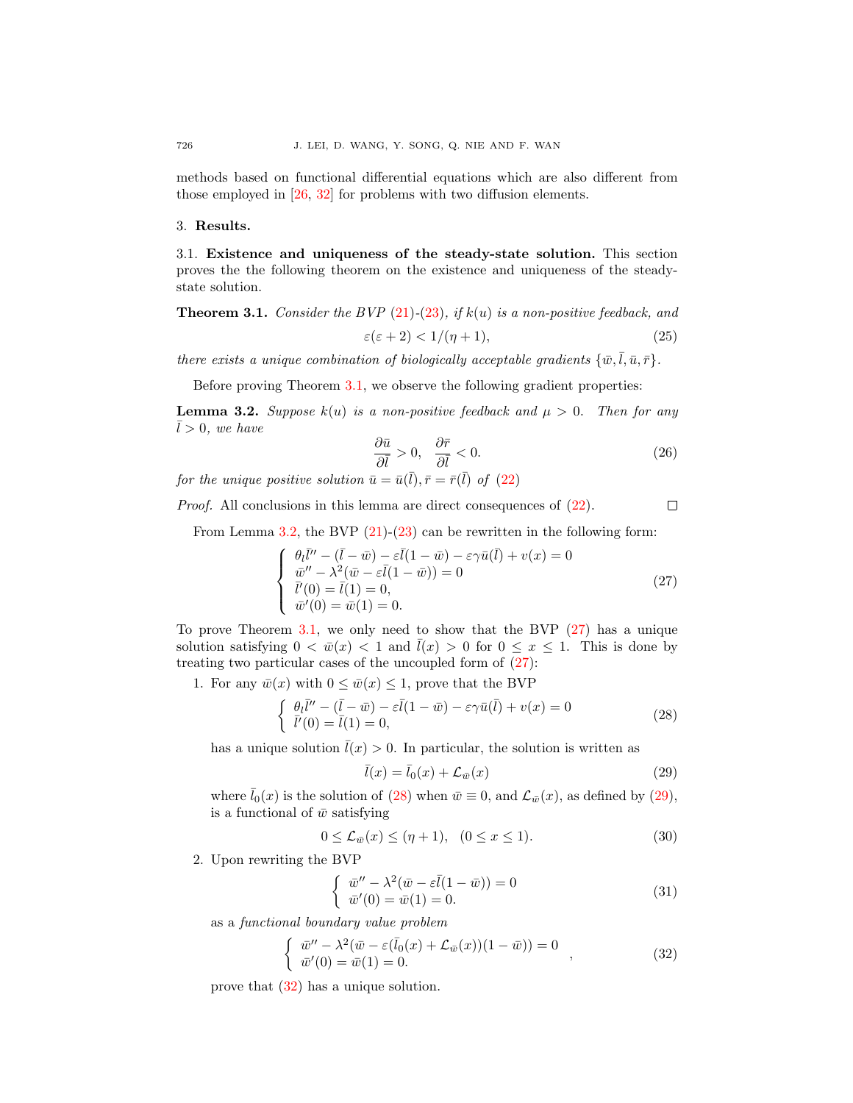methods based on functional differential equations which are also different from those employed in [\[26,](#page-18-13) [32\]](#page-18-14) for problems with two diffusion elements.

### 3. Results.

3.1. Existence and uniqueness of the steady-state solution. This section proves the the following theorem on the existence and uniqueness of the steadystate solution.

# <span id="page-5-0"></span>**Theorem 3.1.** Consider the BVP  $(21)-(23)$  $(21)-(23)$  $(21)-(23)$ , if  $k(u)$  is a non-positive feedback, and  $\varepsilon(\varepsilon + 2) < 1/(\eta + 1),$  (25)

there exists a unique combination of biologically acceptable gradients  $\{\bar{w}, \bar{l}, \bar{u}, \bar{r}\}.$ 

Before proving Theorem [3.1,](#page-5-0) we observe the following gradient properties:

<span id="page-5-1"></span>**Lemma 3.2.** Suppose  $k(u)$  is a non-positive feedback and  $\mu > 0$ . Then for any  $\bar{l} > 0$ , we have

$$
\frac{\partial \bar{u}}{\partial \bar{l}} > 0, \quad \frac{\partial \bar{r}}{\partial \bar{l}} < 0. \tag{26}
$$

for the unique positive solution  $\bar{u} = \bar{u}(\bar{l}), \bar{r} = \bar{r}(\bar{l})$  of  $(22)$ 

Proof. All conclusions in this lemma are direct consequences of [\(22\)](#page-4-3).

 $\Box$ 

From Lemma [3.2,](#page-5-1) the BVP  $(21)-(23)$  $(21)-(23)$  $(21)-(23)$  can be rewritten in the following form:

<span id="page-5-2"></span>
$$
\begin{cases}\n\theta_l \bar{l}'' - (\bar{l} - \bar{w}) - \varepsilon \bar{l} (1 - \bar{w}) - \varepsilon \gamma \bar{u} (\bar{l}) + v(x) = 0 \\
\bar{w}'' - \lambda^2 (\bar{w} - \varepsilon \bar{l} (1 - \bar{w})) = 0 \\
\bar{l}'(0) = \bar{l} (1) = 0, \\
\bar{w}'(0) = \bar{w}(1) = 0.\n\end{cases}
$$
\n(27)

To prove Theorem [3.1,](#page-5-0) we only need to show that the BVP  $(27)$  has a unique solution satisfying  $0 < \bar{w}(x) < 1$  and  $\bar{l}(x) > 0$  for  $0 \le x \le 1$ . This is done by treating two particular cases of the uncoupled form of  $(27)$ :

1. For any  $\bar{w}(x)$  with  $0 \le \bar{w}(x) \le 1$ , prove that the BVP

<span id="page-5-3"></span>
$$
\begin{cases} \theta_l \overline{l}'' - (\overline{l} - \overline{w}) - \varepsilon \overline{l} (1 - \overline{w}) - \varepsilon \gamma \overline{u} (\overline{l}) + v(x) = 0 \\ \overline{l}'(0) = \overline{l} (1) = 0, \end{cases}
$$
\n(28)

has a unique solution  $\bar{l}(x) > 0$ . In particular, the solution is written as

<span id="page-5-4"></span>
$$
\bar{l}(x) = \bar{l}_0(x) + \mathcal{L}_{\bar{w}}(x) \tag{29}
$$

where  $\bar{l}_0(x)$  is the solution of [\(28\)](#page-5-3) when  $\bar{w} \equiv 0$ , and  $\mathcal{L}_{\bar{w}}(x)$ , as defined by [\(29\)](#page-5-4), is a functional of  $\bar{w}$  satisfying

$$
0 \le \mathcal{L}_{\bar{w}}(x) \le (\eta + 1), \quad (0 \le x \le 1). \tag{30}
$$

2. Upon rewriting the BVP

$$
\begin{cases}\n\overline{w}'' - \lambda^2 (\overline{w} - \varepsilon \overline{l}(1 - \overline{w})) = 0 \\
\overline{w}'(0) = \overline{w}(1) = 0.\n\end{cases} \tag{31}
$$

as a functional boundary value problem

<span id="page-5-5"></span>
$$
\begin{cases} \bar{w}'' - \lambda^2 (\bar{w} - \varepsilon (\bar{l}_0(x) + \mathcal{L}_{\bar{w}}(x))(1 - \bar{w})) = 0 \\ \bar{w}'(0) = \bar{w}(1) = 0. \end{cases} (32)
$$

prove that [\(32\)](#page-5-5) has a unique solution.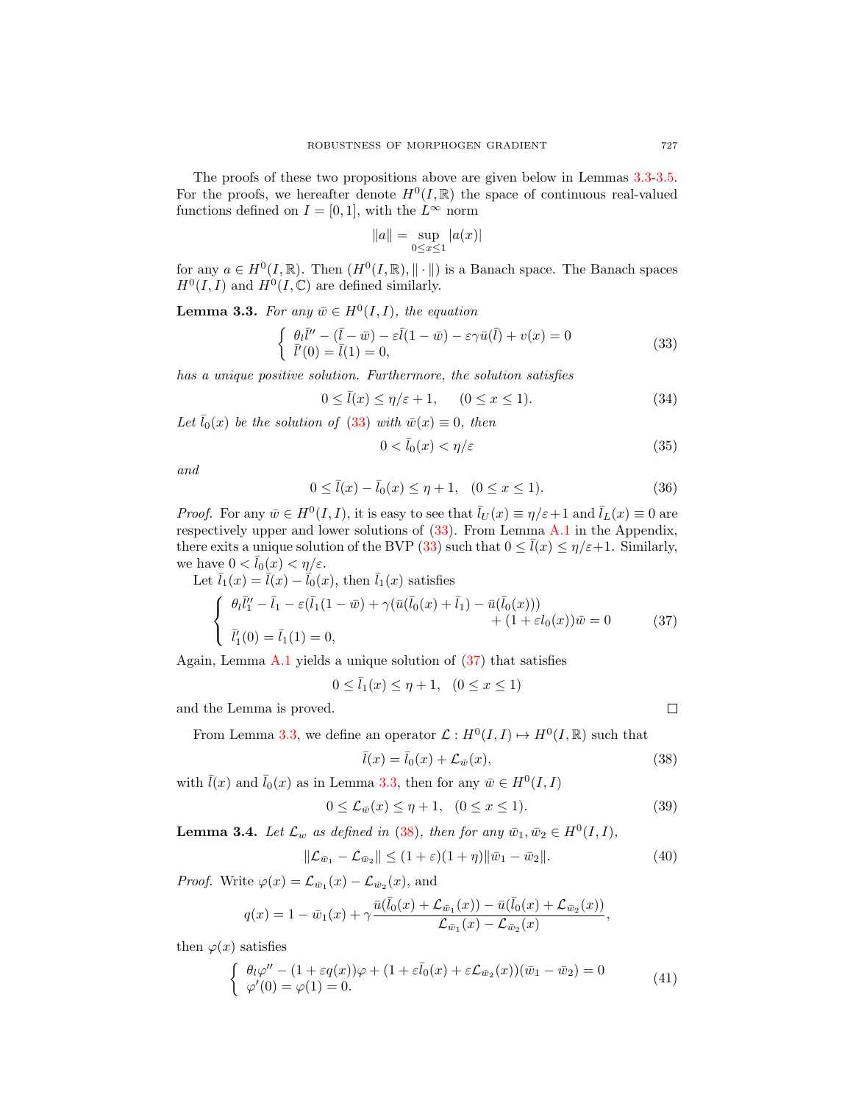The proofs of these two propositions above are given below in Lemmas [3.3-](#page-6-0)[3.5.](#page-7-0) For the proofs, we hereafter denote  $H^0(I,\mathbb{R})$  the space of continuous real-valued functions defined on  $I = [0, 1]$ , with the  $L^{\infty}$  norm

$$
\|a\| = \sup_{0 \le x \le 1} |a(x)|
$$

for any  $a \in H^0(I, \mathbb{R})$ . Then  $(H^0(I, \mathbb{R}), || \cdot ||)$  is a Banach space. The Banach spaces  $H^0(I,I)$  and  $H^0(I,\mathbb{C})$  are defined similarly.

<span id="page-6-0"></span>**Lemma 3.3.** For any  $\bar{w} \in H^0(I, I)$ , the equation

<span id="page-6-1"></span>
$$
\begin{cases}\n\theta_l \bar{l}'' - (\bar{l} - \bar{w}) - \varepsilon \bar{l} (1 - \bar{w}) - \varepsilon \gamma \bar{u} (\bar{l}) + v(x) = 0 \\
\bar{l}'(0) = \bar{l}(1) = 0,\n\end{cases}
$$
\n(33)

has a unique positive solution. Furthermore, the solution satisfies

<span id="page-6-4"></span>
$$
0 \le \bar{l}(x) \le \eta/\varepsilon + 1, \qquad (0 \le x \le 1). \tag{34}
$$

Let  $\bar{l}_0(x)$  be the solution of [\(33\)](#page-6-1) with  $\bar{w}(x) \equiv 0$ , then

$$
0 < \bar{l}_0(x) < \eta/\varepsilon \tag{35}
$$

and

$$
0 \le \bar{l}(x) - \bar{l}_0(x) \le \eta + 1, \quad (0 \le x \le 1). \tag{36}
$$

*Proof.* For any  $\bar{w} \in H^0(I, I)$ , it is easy to see that  $\bar{l}_U(x) \equiv \eta/\varepsilon + 1$  and  $\bar{l}_L(x) \equiv 0$  are respectively upper and lower solutions of [\(33\)](#page-6-1). From Lemma [A.1](#page-15-0) in the Appendix, there exits a unique solution of the BVP [\(33\)](#page-6-1) such that  $0 \leq \bar{l}(x) \leq \eta/\varepsilon+1$ . Similarly, we have  $0 < \bar{l}_0(x) < \eta/\varepsilon$ .

<span id="page-6-2"></span>Let 
$$
\bar{l}_1(x) = \bar{\tilde{l}}(x) - \bar{l}_0(x)
$$
, then  $\bar{l}_1(x)$  satisfies  
\n
$$
\begin{cases}\n\theta_l \bar{l}'_1 - \bar{l}_1 - \varepsilon(\bar{l}_1(1 - \bar{w}) + \gamma(\bar{u}(\bar{l}_0(x) + \bar{l}_1) - \bar{u}(\bar{l}_0(x))) \\
\bar{l}'_1(0) = \bar{l}_1(1) = 0,\n\end{cases}
$$
\n(37)

Again, Lemma [A.1](#page-15-0) yields a unique solution of  $(37)$  that satisfies

$$
0 \le \bar{l}_1(x) \le \eta + 1, \ (0 \le x \le 1)
$$

and the Lemma is proved.

From Lemma [3.3,](#page-6-0) we define an operator  $\mathcal{L}: H^0(I,I) \mapsto H^0(I,\mathbb{R})$  such that

<span id="page-6-3"></span>
$$
\bar{l}(x) = \bar{l}_0(x) + \mathcal{L}_{\bar{w}}(x),\tag{38}
$$

with  $\bar{l}(x)$  and  $\bar{l}_0(x)$  as in Lemma [3.3,](#page-6-0) then for any  $\bar{w} \in H^0(I, I)$ 

$$
0 \le \mathcal{L}_{\bar{w}}(x) \le \eta + 1, \quad (0 \le x \le 1). \tag{39}
$$

**Lemma 3.4.** Let  $\mathcal{L}_w$  as defined in [\(38\)](#page-6-3), then for any  $\bar{w}_1, \bar{w}_2 \in H^0(I, I)$ ,

$$
\|\mathcal{L}_{\bar{w}_1} - \mathcal{L}_{\bar{w}_2}\| \le (1 + \varepsilon)(1 + \eta) \|\bar{w}_1 - \bar{w}_2\|.
$$
 (40)

*Proof.* Write  $\varphi(x) = \mathcal{L}_{\bar{w}_1}(x) - \mathcal{L}_{\bar{w}_2}(x)$ , and

$$
q(x) = 1 - \bar{w}_1(x) + \gamma \frac{\bar{u}(\bar{l}_0(x) + \mathcal{L}_{\bar{w}_1}(x)) - \bar{u}(\bar{l}_0(x) + \mathcal{L}_{\bar{w}_2}(x))}{\mathcal{L}_{\bar{w}_1}(x) - \mathcal{L}_{\bar{w}_2}(x)},
$$

then  $\varphi(x)$  satisfies

$$
\begin{cases}\n\theta_l \varphi'' - (1 + \varepsilon q(x))\varphi + (1 + \varepsilon \bar{l}_0(x) + \varepsilon \mathcal{L}_{\bar{w}_2}(x))(\bar{w}_1 - \bar{w}_2) = 0 \\
\varphi'(0) = \varphi(1) = 0.\n\end{cases} (41)
$$

 $\Box$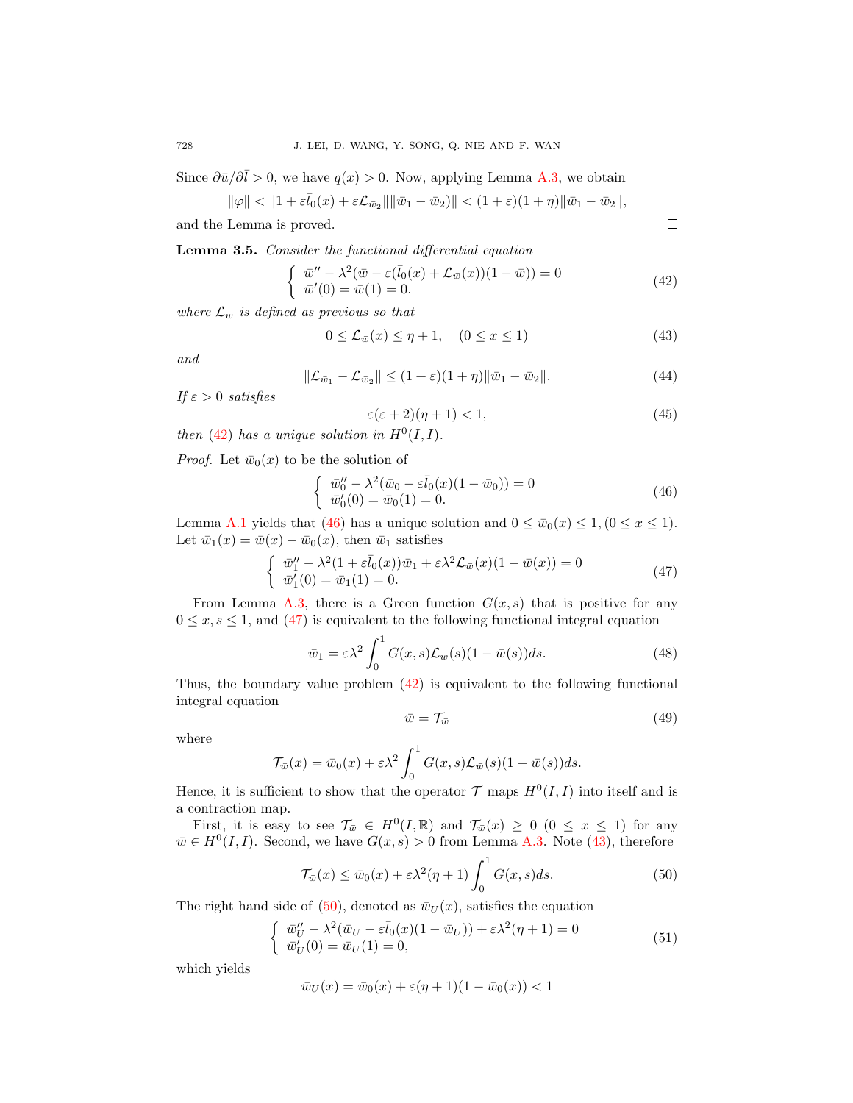Since  $\partial \bar{u}/\partial \bar{l} > 0$ , we have  $q(x) > 0$ . Now, applying Lemma [A.3,](#page-16-0) we obtain

$$
\|\varphi\| < \|1 + \varepsilon \bar{l}_0(x) + \varepsilon \mathcal{L}_{\bar{w}_2}\| \|\bar{w}_1 - \bar{w}_2\| < (1 + \varepsilon)(1 + \eta) \|\bar{w}_1 - \bar{w}_2\|,
$$

and the Lemma is proved.

<span id="page-7-0"></span>Lemma 3.5. Consider the functional differential equation

<span id="page-7-1"></span>
$$
\begin{cases} \bar{w}'' - \lambda^2 (\bar{w} - \varepsilon (\bar{l}_0(x) + \mathcal{L}_{\bar{w}}(x))(1 - \bar{w})) = 0 \\ \bar{w}'(0) = \bar{w}(1) = 0. \end{cases}
$$
\n(42)

where  $\mathcal{L}_{\bar{w}}$  is defined as previous so that

<span id="page-7-4"></span>
$$
0 \leq \mathcal{L}_{\bar{w}}(x) \leq \eta + 1, \quad (0 \leq x \leq 1)
$$
\n
$$
(43)
$$

and

$$
\|\mathcal{L}_{\bar{w}_1} - \mathcal{L}_{\bar{w}_2}\| \le (1+\varepsilon)(1+\eta)\|\bar{w}_1 - \bar{w}_2\|.
$$
 (44)

If  $\varepsilon > 0$  satisfies

<span id="page-7-6"></span>
$$
\varepsilon(\varepsilon+2)(\eta+1) < 1,\tag{45}
$$

then [\(42\)](#page-7-1) has a unique solution in  $H^0(I, I)$ .

*Proof.* Let  $\bar{w}_0(x)$  to be the solution of

<span id="page-7-2"></span>
$$
\begin{cases}\n\ \bar{w}_0'' - \lambda^2 (\bar{w}_0 - \varepsilon \bar{l}_0(x)(1 - \bar{w}_0)) = 0 \\
\ \bar{w}_0'(0) = \bar{w}_0(1) = 0.\n\end{cases} \tag{46}
$$

Lemma [A.1](#page-15-0) yields that [\(46\)](#page-7-2) has a unique solution and  $0 \le \bar{w}_0(x) \le 1$ ,  $(0 \le x \le 1)$ . Let  $\bar{w}_1(x) = \bar{w}(x) - \bar{w}_0(x)$ , then  $\bar{w}_1$  satisfies

<span id="page-7-3"></span>
$$
\begin{cases} \bar{w}_1'' - \lambda^2 (1 + \varepsilon \bar{l}_0(x)) \bar{w}_1 + \varepsilon \lambda^2 \mathcal{L}_{\bar{w}}(x) (1 - \bar{w}(x)) = 0 \\ \bar{w}_1'(0) = \bar{w}_1(1) = 0. \end{cases}
$$
(47)

From Lemma [A.3,](#page-16-0) there is a Green function  $G(x, s)$  that is positive for any  $0 \leq x, s \leq 1$ , and [\(47\)](#page-7-3) is equivalent to the following functional integral equation

$$
\bar{w}_1 = \varepsilon \lambda^2 \int_0^1 G(x, s) \mathcal{L}_{\bar{w}}(s) (1 - \bar{w}(s)) ds.
$$
 (48)

Thus, the boundary value problem  $(42)$  is equivalent to the following functional integral equation

$$
\bar{w} = \mathcal{T}_{\bar{w}} \tag{49}
$$

where

$$
\mathcal{T}_{\overline{w}}(x) = \overline{w}_0(x) + \varepsilon \lambda^2 \int_0^1 G(x, s) \mathcal{L}_{\overline{w}}(s) (1 - \overline{w}(s)) ds.
$$

Hence, it is sufficient to show that the operator  $\mathcal T$  maps  $H^0(I,I)$  into itself and is a contraction map.

First, it is easy to see  $\mathcal{T}_{\bar{w}} \in H^0(I,\mathbb{R})$  and  $\mathcal{T}_{\bar{w}}(x) \geq 0$   $(0 \leq x \leq 1)$  for any  $\bar{w} \in H^0(I, I)$ . Second, we have  $G(x, s) > 0$  from Lemma [A.3.](#page-16-0) Note [\(43\)](#page-7-4), therefore

<span id="page-7-5"></span>
$$
\mathcal{T}_{\bar{w}}(x) \le \bar{w}_0(x) + \varepsilon \lambda^2 (\eta + 1) \int_0^1 G(x, s) ds.
$$
 (50)

The right hand side of [\(50\)](#page-7-5), denoted as  $\bar{w}_U(x)$ , satisfies the equation

$$
\begin{cases}\n\overline{w}''_U - \lambda^2 (\overline{w}_U - \varepsilon \overline{l}_0(x)(1 - \overline{w}_U)) + \varepsilon \lambda^2 (\eta + 1) = 0 \\
\overline{w}'_U(0) = \overline{w}_U(1) = 0,\n\end{cases} \tag{51}
$$

which yields

$$
\bar{w}_U(x) = \bar{w}_0(x) + \varepsilon (\eta + 1)(1 - \bar{w}_0(x)) < 1
$$

 $\Box$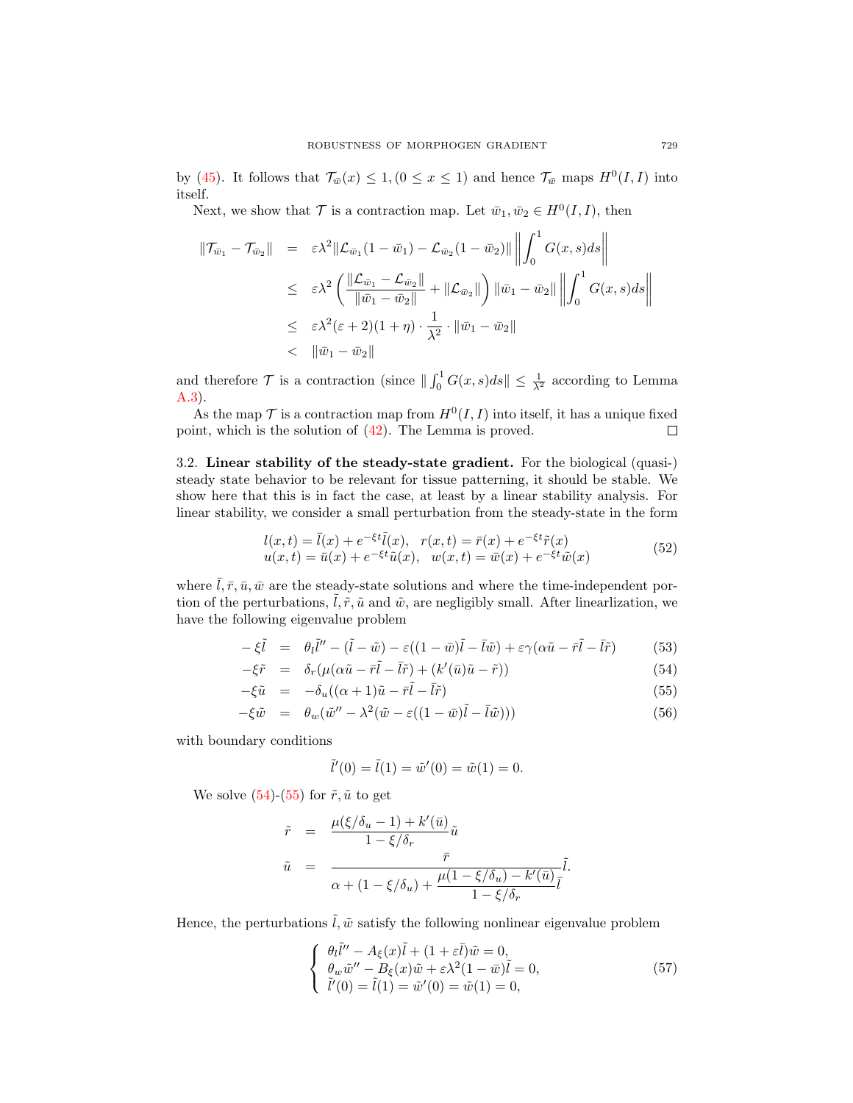by [\(45\)](#page-7-6). It follows that  $\mathcal{T}_{\bar{w}}(x) \leq 1, (0 \leq x \leq 1)$  and hence  $\mathcal{T}_{\bar{w}}$  maps  $H^0(I,I)$  into itself.

Next, we show that  $\mathcal T$  is a contraction map. Let  $\bar{w}_1, \bar{w}_2 \in H^0(I, I)$ , then

$$
\begin{array}{rcl} \|\mathcal{T}_{\bar{w}_1} - \mathcal{T}_{\bar{w}_2}\| & = & \varepsilon \lambda^2 \|\mathcal{L}_{\bar{w}_1}(1 - \bar{w}_1) - \mathcal{L}_{\bar{w}_2}(1 - \bar{w}_2)\| \left\| \int_0^1 G(x, s) ds \right\| \\ \\ & \leq & \varepsilon \lambda^2 \left( \frac{\|\mathcal{L}_{\bar{w}_1} - \mathcal{L}_{\bar{w}_2}\|}{\|\bar{w}_1 - \bar{w}_2\|} + \|\mathcal{L}_{\bar{w}_2}\| \right) \|\bar{w}_1 - \bar{w}_2\| \left\| \int_0^1 G(x, s) ds \right\| \\ \\ & \leq & \varepsilon \lambda^2 (\varepsilon + 2)(1 + \eta) \cdot \frac{1}{\lambda^2} \cdot \|\bar{w}_1 - \bar{w}_2\| \\ \\ & < & \|\bar{w}_1 - \bar{w}_2\| \end{array}
$$

and therefore  $\mathcal T$  is a contraction (since  $\|\int_0^1 G(x, s)ds\| \leq \frac{1}{\lambda^2}$  according to Lemma [A.3\)](#page-16-0).

As the map  $\mathcal T$  is a contraction map from  $H^0(I,I)$  into itself, it has a unique fixed point, which is the solution of [\(42\)](#page-7-1). The Lemma is proved.  $\Box$ 

3.2. Linear stability of the steady-state gradient. For the biological (quasi-) steady state behavior to be relevant for tissue patterning, it should be stable. We show here that this is in fact the case, at least by a linear stability analysis. For linear stability, we consider a small perturbation from the steady-state in the form

$$
l(x,t) = \bar{l}(x) + e^{-\xi t}\tilde{l}(x), \quad r(x,t) = \bar{r}(x) + e^{-\xi t}\tilde{r}(x)
$$
  

$$
u(x,t) = \bar{u}(x) + e^{-\xi t}\tilde{u}(x), \quad w(x,t) = \bar{w}(x) + e^{-\xi t}\tilde{w}(x)
$$
 (52)

where  $\overline{l}, \overline{r}, \overline{u}, \overline{w}$  are the steady-state solutions and where the time-independent portion of the perturbations,  $\hat{l}, \tilde{r}, \tilde{u}$  and  $\tilde{w}$ , are negligibly small. After linearlization, we have the following eigenvalue problem

$$
-\xi \tilde{l} = \theta_l \tilde{l}'' - (\tilde{l} - \tilde{w}) - \varepsilon ((1 - \bar{w})\tilde{l} - \bar{l}\tilde{w}) + \varepsilon \gamma (\alpha \tilde{u} - \bar{r}\tilde{l} - \bar{l}\tilde{r}) \tag{53}
$$

<span id="page-8-0"></span>
$$
-\xi \tilde{r} = \delta_r(\mu(\alpha \tilde{u} - \bar{r}\tilde{l} - \bar{l}\tilde{r}) + (k'(\bar{u})\tilde{u} - \tilde{r}))
$$
\n(54)

$$
-\xi \tilde{u} = -\delta_u((\alpha+1)\tilde{u} - \bar{r}\tilde{l} - \bar{l}\tilde{r})
$$
\n(55)

$$
-\xi \tilde{w} = \theta_w (\tilde{w}'' - \lambda^2 (\tilde{w} - \varepsilon ((1 - \bar{w})\tilde{l} - \bar{l}\tilde{w}))) \tag{56}
$$

with boundary conditions

$$
\tilde{l}'(0) = \tilde{l}(1) = \tilde{w}'(0) = \tilde{w}(1) = 0.
$$

We solve  $(54)-(55)$  $(54)-(55)$  $(54)-(55)$  for  $\tilde{r}, \tilde{u}$  to get

$$
\begin{array}{rcl} \tilde{r} & = & \frac{\mu(\xi/\delta_u-1)+k'(\bar{u})}{1-\xi/\delta_r} \tilde{u} \\ \tilde{u} & = & \frac{\bar{r}}{\alpha+(1-\xi/\delta_u)+\frac{\mu(1-\xi/\delta_u)-k'(\bar{u})}{1-\xi/\delta_r}} \tilde{l}. \end{array}
$$

Hence, the perturbations  $\tilde{l}, \tilde{w}$  satisfy the following nonlinear eigenvalue problem

<span id="page-8-1"></span>
$$
\begin{cases}\n\theta_t \tilde{l}'' - A_{\xi}(x)\tilde{l} + (1 + \varepsilon \bar{l})\tilde{w} = 0, \\
\theta_w \tilde{w}'' - B_{\xi}(x)\tilde{w} + \varepsilon \lambda^2 (1 - \bar{w})\tilde{l} = 0, \\
\tilde{l}'(0) = \tilde{l}(1) = \tilde{w}'(0) = \tilde{w}(1) = 0,\n\end{cases}
$$
\n(57)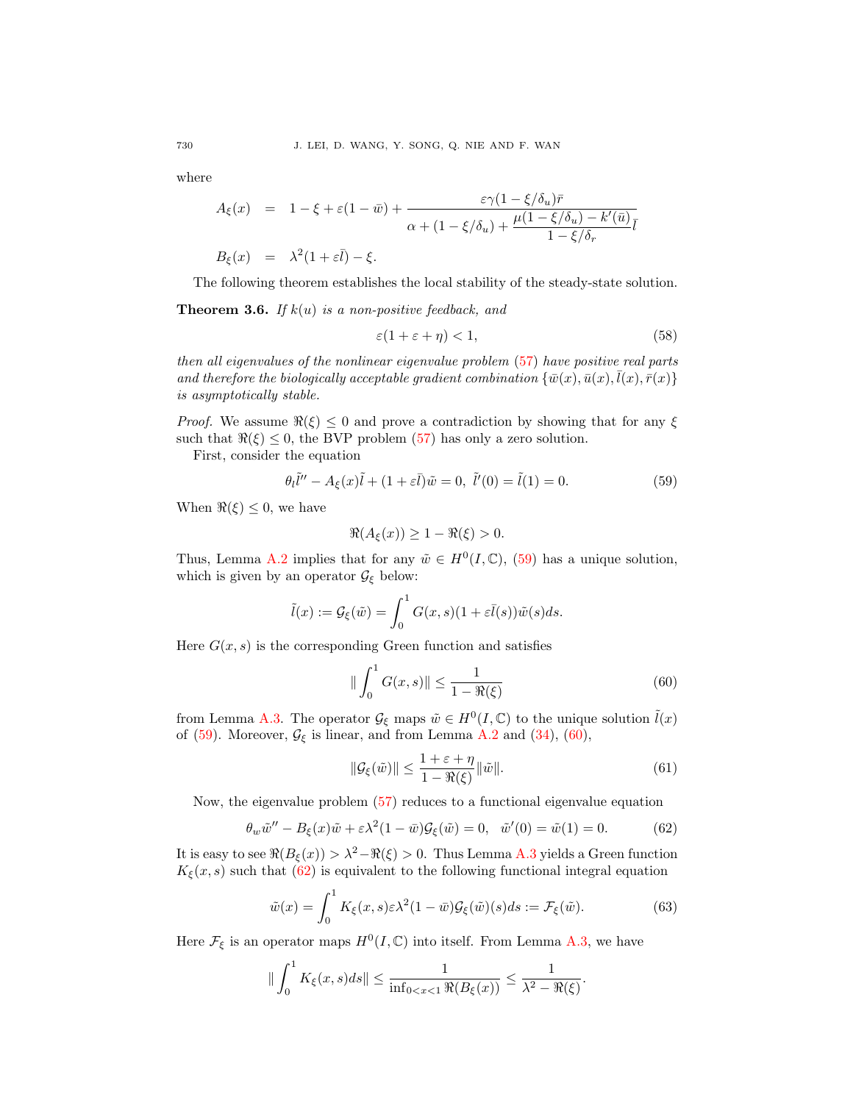where

$$
A_{\xi}(x) = 1 - \xi + \varepsilon (1 - \bar{w}) + \frac{\varepsilon \gamma (1 - \xi/\delta_u) \bar{r}}{\alpha + (1 - \xi/\delta_u) + \frac{\mu (1 - \xi/\delta_u) - k'(\bar{u})}{1 - \xi/\delta_r}} \bar{l}
$$
  

$$
B_{\xi}(x) = \lambda^2 (1 + \varepsilon \bar{l}) - \xi.
$$

The following theorem establishes the local stability of the steady-state solution.

**Theorem 3.6.** If  $k(u)$  is a non-positive feedback, and

<span id="page-9-3"></span>
$$
\varepsilon(1 + \varepsilon + \eta) < 1,\tag{58}
$$

then all eigenvalues of the nonlinear eigenvalue problem [\(57\)](#page-8-1) have positive real parts and therefore the biologically acceptable gradient combination  $\{\bar{w}(x), \bar{u}(x), \bar{l}(x), \bar{r}(x)\}$ is asymptotically stable.

*Proof.* We assume  $\Re(\xi) \leq 0$  and prove a contradiction by showing that for any  $\xi$ such that  $\Re(\xi) \leq 0$ , the BVP problem [\(57\)](#page-8-1) has only a zero solution.

First, consider the equation

<span id="page-9-0"></span>
$$
\theta_l \tilde{l}'' - A_{\xi}(x)\tilde{l} + (1 + \varepsilon \bar{l})\tilde{w} = 0, \ \tilde{l}'(0) = \tilde{l}(1) = 0.
$$
 (59)

When  $\Re(\xi) \leq 0$ , we have

$$
\Re(A_{\xi}(x)) \ge 1 - \Re(\xi) > 0.
$$

Thus, Lemma [A.2](#page-16-1) implies that for any  $\tilde{w} \in H^0(I, \mathbb{C}),$  [\(59\)](#page-9-0) has a unique solution, which is given by an operator  $\mathcal{G}_{\xi}$  below:

$$
\tilde{l}(x) := \mathcal{G}_{\xi}(\tilde{w}) = \int_0^1 G(x, s)(1 + \varepsilon \overline{l}(s))\tilde{w}(s)ds.
$$

Here  $G(x, s)$  is the corresponding Green function and satisfies

<span id="page-9-1"></span>
$$
\|\int_0^1 G(x,s)\| \le \frac{1}{1 - \Re(\xi)}\tag{60}
$$

from Lemma [A.3.](#page-16-0) The operator  $\mathcal{G}_{\xi}$  maps  $\tilde{w} \in H^0(I, \mathbb{C})$  to the unique solution  $\tilde{l}(x)$ of [\(59\)](#page-9-0). Moreover,  $\mathcal{G}_{\xi}$  is linear, and from Lemma [A.2](#page-16-1) and [\(34\)](#page-6-4), [\(60\)](#page-9-1),

$$
\|\mathcal{G}_{\xi}(\tilde{w})\| \le \frac{1+\varepsilon+\eta}{1-\Re(\xi)} \|\tilde{w}\|.\tag{61}
$$

Now, the eigenvalue problem [\(57\)](#page-8-1) reduces to a functional eigenvalue equation

<span id="page-9-2"></span>
$$
\theta_w \tilde{w}'' - B_{\xi}(x)\tilde{w} + \varepsilon \lambda^2 (1 - \bar{w})\mathcal{G}_{\xi}(\tilde{w}) = 0, \quad \tilde{w}'(0) = \tilde{w}(1) = 0. \tag{62}
$$

It is easy to see  $\Re(B_{\xi}(x)) > \lambda^2 - \Re(\xi) > 0$ . Thus Lemma [A.3](#page-16-0) yields a Green function  $K_{\xi}(x, s)$  such that [\(62\)](#page-9-2) is equivalent to the following functional integral equation

$$
\tilde{w}(x) = \int_0^1 K_{\xi}(x, s) \varepsilon \lambda^2 (1 - \bar{w}) \mathcal{G}_{\xi}(\tilde{w})(s) ds := \mathcal{F}_{\xi}(\tilde{w}). \tag{63}
$$

Here  $\mathcal{F}_{\xi}$  is an operator maps  $H^{0}(I,\mathbb{C})$  into itself. From Lemma [A.3,](#page-16-0) we have

$$
\|\int_0^1 K_{\xi}(x,s)ds\| \leq \frac{1}{\inf_{0
$$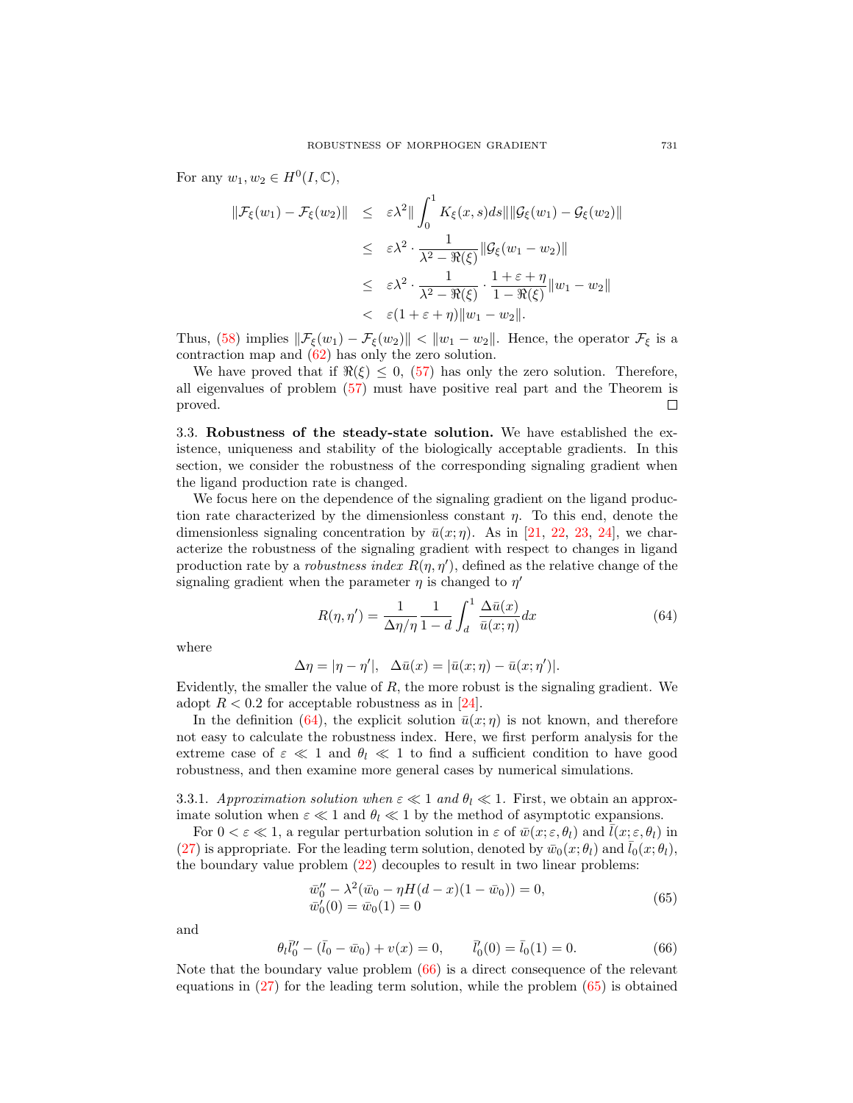For any  $w_1, w_2 \in H^0(I, \mathbb{C}),$ 

$$
\|\mathcal{F}_{\xi}(w_1) - \mathcal{F}_{\xi}(w_2)\| \leq \varepsilon \lambda^2 \|\int_0^1 K_{\xi}(x, s) ds \|\|\mathcal{G}_{\xi}(w_1) - \mathcal{G}_{\xi}(w_2)\|
$$
  

$$
\leq \varepsilon \lambda^2 \cdot \frac{1}{\lambda^2 - \Re(\xi)} \|\mathcal{G}_{\xi}(w_1 - w_2)\|
$$
  

$$
\leq \varepsilon \lambda^2 \cdot \frac{1}{\lambda^2 - \Re(\xi)} \cdot \frac{1 + \varepsilon + \eta}{1 - \Re(\xi)} \|w_1 - w_2\|
$$
  

$$
< \varepsilon (1 + \varepsilon + \eta) \|w_1 - w_2\|.
$$

Thus, [\(58\)](#page-9-3) implies  $\|\mathcal{F}_{\xi}(w_1) - \mathcal{F}_{\xi}(w_2)\| < \|w_1 - w_2\|$ . Hence, the operator  $\mathcal{F}_{\xi}$  is a contraction map and [\(62\)](#page-9-2) has only the zero solution.

We have proved that if  $\Re(\xi) \leq 0$ , [\(57\)](#page-8-1) has only the zero solution. Therefore, all eigenvalues of problem [\(57\)](#page-8-1) must have positive real part and the Theorem is proved.  $\Box$ 

3.3. Robustness of the steady-state solution. We have established the existence, uniqueness and stability of the biologically acceptable gradients. In this section, we consider the robustness of the corresponding signaling gradient when the ligand production rate is changed.

We focus here on the dependence of the signaling gradient on the ligand production rate characterized by the dimensionless constant  $\eta$ . To this end, denote the dimensionless signaling concentration by  $\bar{u}(x;\eta)$ . As in [\[21,](#page-18-7) [22,](#page-18-12) [23,](#page-18-10) [24\]](#page-18-8), we characterize the robustness of the signaling gradient with respect to changes in ligand production rate by a *robustness index*  $R(\eta, \eta')$ , defined as the relative change of the signaling gradient when the parameter  $\eta$  is changed to  $\eta'$ 

<span id="page-10-0"></span>
$$
R(\eta, \eta') = \frac{1}{\Delta \eta / \eta} \frac{1}{1 - d} \int_{d}^{1} \frac{\Delta \bar{u}(x)}{\bar{u}(x; \eta)} dx
$$
(64)

where

$$
\Delta \eta = |\eta - \eta'|, \quad \Delta \bar{u}(x) = |\bar{u}(x; \eta) - \bar{u}(x; \eta')|.
$$

Evidently, the smaller the value of  $R$ , the more robust is the signaling gradient. We adopt  $R < 0.2$  for acceptable robustness as in [\[24\]](#page-18-8).

In the definition [\(64\)](#page-10-0), the explicit solution  $\bar{u}(x;\eta)$  is not known, and therefore not easy to calculate the robustness index. Here, we first perform analysis for the extreme case of  $\varepsilon \ll 1$  and  $\theta_l \ll 1$  to find a sufficient condition to have good robustness, and then examine more general cases by numerical simulations.

3.3.1. Approximation solution when  $\varepsilon \ll 1$  and  $\theta_l \ll 1$ . First, we obtain an approximate solution when  $\varepsilon \ll 1$  and  $\theta_l \ll 1$  by the method of asymptotic expansions.

For  $0 < \varepsilon \ll 1$ , a regular perturbation solution in  $\varepsilon$  of  $\bar{w}(x; \varepsilon, \theta_l)$  and  $\bar{l}(x; \varepsilon, \theta_l)$  in [\(27\)](#page-5-2) is appropriate. For the leading term solution, denoted by  $\bar{w}_0(x; \theta_l)$  and  $\bar{l}_0(x; \theta_l)$ , the boundary value problem [\(22\)](#page-4-3) decouples to result in two linear problems:

<span id="page-10-2"></span>
$$
\overline{w}_0'' - \lambda^2 (\overline{w}_0 - \eta H(d - x)(1 - \overline{w}_0)) = 0,\n\overline{w}_0'(0) = \overline{w}_0(1) = 0
$$
\n(65)

and

<span id="page-10-1"></span>
$$
\theta_l \bar{l}_0'' - (\bar{l}_0 - \bar{w}_0) + v(x) = 0, \qquad \bar{l}_0'(0) = \bar{l}_0(1) = 0.
$$
 (66)

Note that the boundary value problem  $(66)$  is a direct consequence of the relevant equations in [\(27\)](#page-5-2) for the leading term solution, while the problem [\(65\)](#page-10-2) is obtained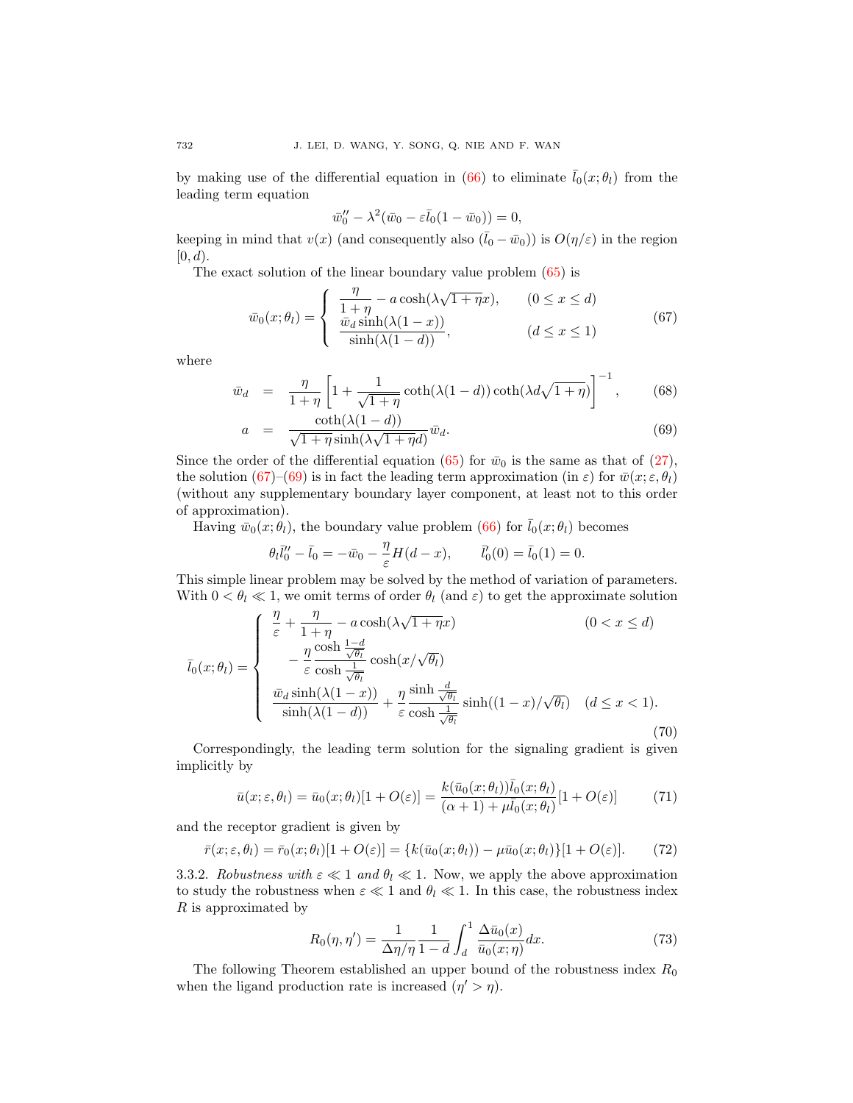by making use of the differential equation in [\(66\)](#page-10-1) to eliminate  $\bar{l}_0(x;\theta_l)$  from the leading term equation

$$
\bar{w}_0'' - \lambda^2 (\bar{w}_0 - \varepsilon \bar{l}_0 (1 - \bar{w}_0)) = 0,
$$

keeping in mind that  $v(x)$  (and consequently also  $(\bar{l}_0 - \bar{w}_0)$ ) is  $O(\eta/\varepsilon)$  in the region  $[0, d)$ .

The exact solution of the linear boundary value problem [\(65\)](#page-10-2) is

<span id="page-11-0"></span>
$$
\bar{w}_0(x; \theta_l) = \begin{cases}\n\frac{\eta}{1 + \eta} - a \cosh(\lambda \sqrt{1 + \eta} x), & (0 \le x \le d) \\
\frac{\bar{w}_d \sinh(\lambda (1 - x))}{\sinh(\lambda (1 - d))}, & (d \le x \le 1)\n\end{cases}
$$
\n(67)

where

$$
\bar{w}_d = \frac{\eta}{1+\eta} \left[ 1 + \frac{1}{\sqrt{1+\eta}} \coth(\lambda(1-d)) \coth(\lambda d \sqrt{1+\eta}) \right]^{-1}, \quad (68)
$$

<span id="page-11-1"></span>
$$
a = \frac{\coth(\lambda(1-d))}{\sqrt{1+\eta}\sinh(\lambda\sqrt{1+\eta}d)}\bar{w}_d.
$$
\n(69)

Since the order of the differential equation [\(65\)](#page-10-2) for  $\bar{w}_0$  is the same as that of [\(27\)](#page-5-2), the solution [\(67\)](#page-11-0)–[\(69\)](#page-11-1) is in fact the leading term approximation (in  $\varepsilon$ ) for  $\bar{w}(x; \varepsilon, \theta_l)$ (without any supplementary boundary layer component, at least not to this order of approximation).

Having  $\bar{w}_0(x; \theta_l)$ , the boundary value problem [\(66\)](#page-10-1) for  $\bar{l}_0(x; \theta_l)$  becomes

$$
\theta_l \bar{l}_0'' - \bar{l}_0 = -\bar{w}_0 - \frac{\eta}{\varepsilon} H(d - x), \qquad \bar{l}_0'(0) = \bar{l}_0(1) = 0.
$$

This simple linear problem may be solved by the method of variation of parameters. With  $0 < \theta_l \ll 1$ , we omit terms of order  $\theta_l$  (and  $\varepsilon$ ) to get the approximate solution

<span id="page-11-3"></span>
$$
\bar{l}_{0}(x;\theta_{l}) = \begin{cases}\n\frac{\eta}{\varepsilon} + \frac{\eta}{1+\eta} - a\cosh(\lambda\sqrt{1+\eta}x) & (0 < x \leq d) \\
-\frac{\eta}{\varepsilon}\frac{\cosh\frac{1-d}{\sqrt{\theta_{l}}}}{\cosh\frac{1}{\sqrt{\theta_{l}}}}\cosh(x/\sqrt{\theta_{l}}) & (\frac{\bar{w}_{d}\sinh(\lambda(1-x))}{\sinh(\lambda(1-d))} + \frac{\eta}{\varepsilon}\frac{\sinh\frac{d}{\sqrt{\theta_{l}}}}{\cosh\frac{1}{\sqrt{\theta_{l}}}}\sinh((1-x)/\sqrt{\theta_{l}}) & (d \leq x < 1).\n\end{cases}
$$
\n(70)

Correspondingly, the leading term solution for the signaling gradient is given implicitly by

<span id="page-11-4"></span>
$$
\bar{u}(x;\varepsilon,\theta_l) = \bar{u}_0(x;\theta_l)[1+O(\varepsilon)] = \frac{k(\bar{u}_0(x;\theta_l))\bar{l}_0(x;\theta_l)}{(\alpha+1) + \mu \bar{l}_0(x;\theta_l)}[1+O(\varepsilon)]\tag{71}
$$

and the receptor gradient is given by

$$
\bar{r}(x;\varepsilon,\theta_l) = \bar{r}_0(x;\theta_l)[1 + O(\varepsilon)] = \{k(\bar{u}_0(x;\theta_l)) - \mu \bar{u}_0(x;\theta_l)\}[1 + O(\varepsilon)].\tag{72}
$$

3.3.2. Robustness with  $\varepsilon \ll 1$  and  $\theta_l \ll 1$ . Now, we apply the above approximation to study the robustness when  $\varepsilon \ll 1$  and  $\theta_l \ll 1$ . In this case, the robustness index R is approximated by

<span id="page-11-2"></span>
$$
R_0(\eta, \eta') = \frac{1}{\Delta \eta/\eta} \frac{1}{1-d} \int_d^1 \frac{\Delta \bar{u}_0(x)}{\bar{u}_0(x;\eta)} dx.
$$
 (73)

The following Theorem established an upper bound of the robustness index  $R_0$ when the ligand production rate is increased  $(\eta' > \eta)$ .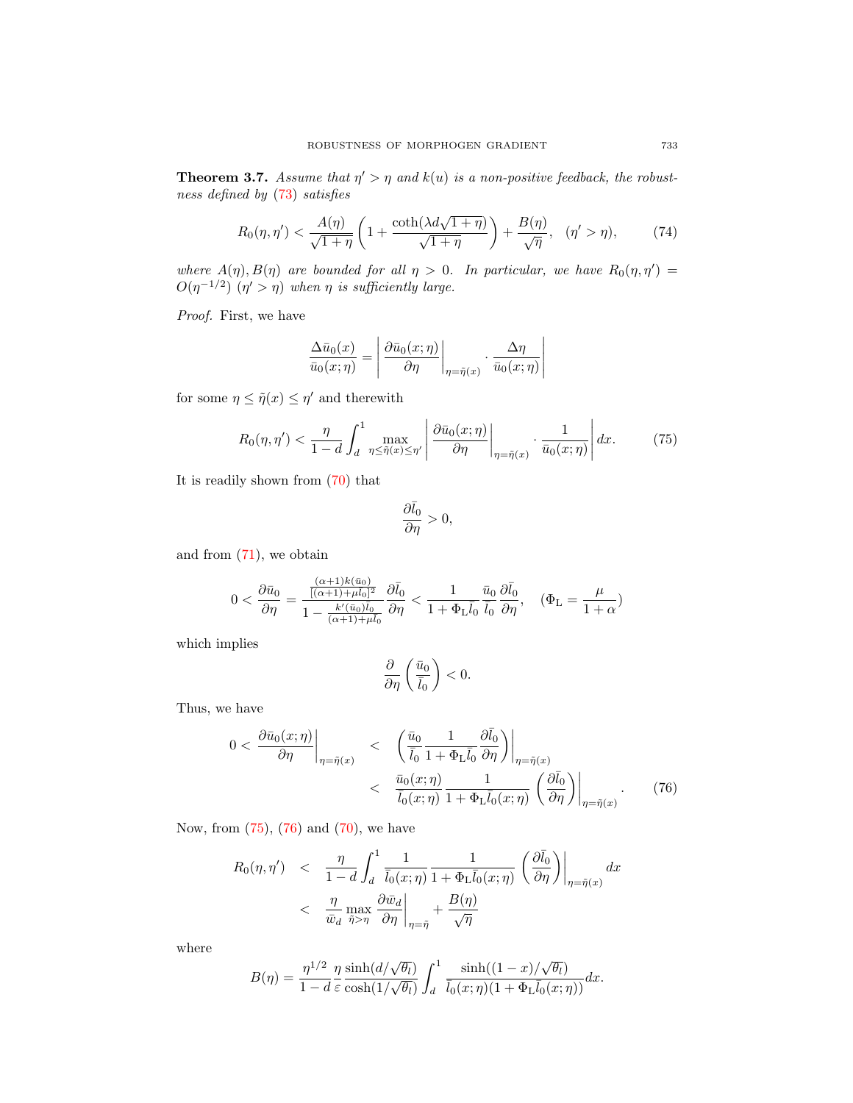<span id="page-12-2"></span>**Theorem 3.7.** Assume that  $\eta' > \eta$  and  $k(u)$  is a non-positive feedback, the robustness defined by [\(73\)](#page-11-2) satisfies

$$
R_0(\eta, \eta') < \frac{A(\eta)}{\sqrt{1+\eta}} \left( 1 + \frac{\coth(\lambda d \sqrt{1+\eta})}{\sqrt{1+\eta}} \right) + \frac{B(\eta)}{\sqrt{\eta}}, \quad (\eta' > \eta), \tag{74}
$$

where  $A(\eta), B(\eta)$  are bounded for all  $\eta > 0$ . In particular, we have  $R_0(\eta, \eta') =$  $O(\eta^{-1/2})$   $(\eta' > \eta)$  when  $\eta$  is sufficiently large.

Proof. First, we have

$$
\frac{\Delta \bar{u}_0(x)}{\bar{u}_0(x;\eta)} = \left| \frac{\partial \bar{u}_0(x;\eta)}{\partial \eta} \right|_{\eta = \tilde{\eta}(x)} \cdot \frac{\Delta \eta}{\bar{u}_0(x;\eta)} \right|
$$

for some  $\eta \leq \tilde{\eta}(x) \leq \eta'$  and therewith

<span id="page-12-0"></span>
$$
R_0(\eta, \eta') < \frac{\eta}{1-d} \int_d^1 \max_{\eta \leq \tilde{\eta}(x) \leq \eta'} \left| \frac{\partial \bar{u}_0(x;\eta)}{\partial \eta} \right|_{\eta = \tilde{\eta}(x)} \cdot \frac{1}{\bar{u}_0(x;\eta)} \right| dx. \tag{75}
$$

It is readily shown from [\(70\)](#page-11-3) that

$$
\frac{\partial \bar{l}_0}{\partial \eta} > 0,
$$

and from [\(71\)](#page-11-4), we obtain

$$
0<\frac{\partial \bar{u}_0}{\partial \eta}=\frac{\frac{(\alpha+1)k(\bar{u}_0)}{[(\alpha+1)+\mu\bar{l}_0]^2}}{1-\frac{k'(\bar{u}_0)\bar{l}_0}{(\alpha+1)+\mu\bar{l}_0}}\frac{\partial \bar{l}_0}{\partial \eta}<\frac{1}{1+\Phi_L\bar{l}_0}\frac{\bar{u}_0}{\bar{l}_0}\frac{\partial \bar{l}_0}{\partial \eta},\quad (\Phi_L=\frac{\mu}{1+\alpha})
$$

which implies

$$
\frac{\partial}{\partial \eta}\left(\frac{\bar{u}_0}{\bar{l}_0}\right) < 0.
$$

Thus, we have

<span id="page-12-1"></span>
$$
0 < \left. \frac{\partial \bar{u}_0(x;\eta)}{\partial \eta} \right|_{\eta = \tilde{\eta}(x)} < \left. \left( \frac{\bar{u}_0}{\bar{l}_0} \frac{1}{1 + \Phi_L \bar{l}_0} \frac{\partial \bar{l}_0}{\partial \eta} \right) \right|_{\eta = \tilde{\eta}(x)} \\
& < \left. \frac{\bar{u}_0(x;\eta)}{\bar{l}_0(x;\eta)} \frac{1}{1 + \Phi_L \bar{l}_0(x;\eta)} \left( \frac{\partial \bar{l}_0}{\partial \eta} \right) \right|_{\eta = \tilde{\eta}(x)} . \tag{76}
$$

Now, from [\(75\)](#page-12-0), [\(76\)](#page-12-1) and [\(70\)](#page-11-3), we have

$$
R_0(\eta, \eta') \quad < \quad \frac{\eta}{1-d} \int_d^1 \frac{1}{\bar{l}_0(x;\eta)} \frac{1}{1+\Phi_L \bar{l}_0(x;\eta)} \left(\frac{\partial \bar{l}_0}{\partial \eta}\right) \Big|_{\eta=\tilde{\eta}(x)} dx
$$
\n
$$
\quad < \quad \frac{\eta}{\bar{w}_d} \max_{\tilde{\eta} > \eta} \left. \frac{\partial \bar{w}_d}{\partial \eta} \right|_{\eta=\tilde{\eta}} + \frac{B(\eta)}{\sqrt{\eta}}
$$

where

$$
B(\eta) = \frac{\eta^{1/2}}{1-d} \frac{\eta}{\varepsilon} \frac{\sinh(d/\sqrt{\theta_l})}{\cosh(1/\sqrt{\theta_l})} \int_d^1 \frac{\sinh((1-x)/\sqrt{\theta_l})}{\bar{l}_0(x;\eta)(1+\Phi_L \bar{l}_0(x;\eta))} dx.
$$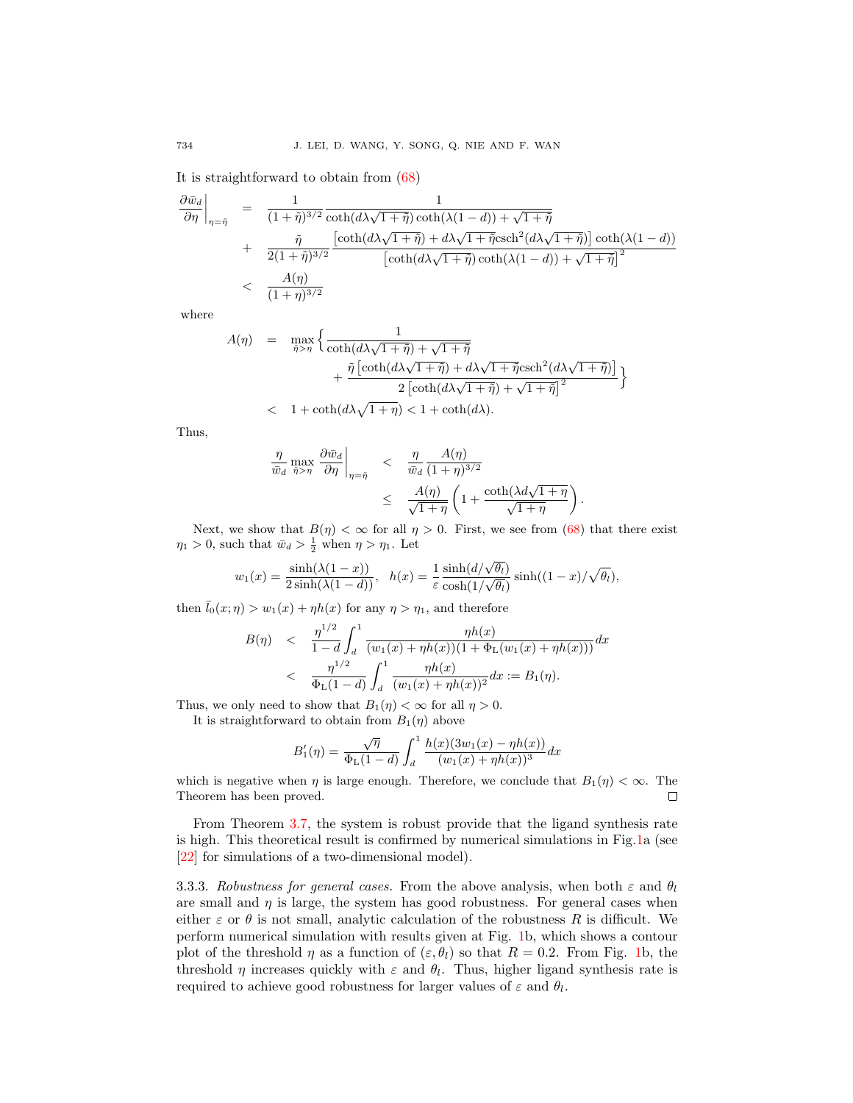It is straightforward to obtain from [\(68\)](#page-11-1)

$$
\frac{\partial \bar{w}_d}{\partial \eta}\Big|_{\eta=\tilde{\eta}} = \frac{1}{(1+\tilde{\eta})^{3/2}} \frac{1}{\coth(d\lambda\sqrt{1+\tilde{\eta}})\coth(\lambda(1-d)) + \sqrt{1+\tilde{\eta}}}
$$
  
+ 
$$
\frac{\tilde{\eta}}{2(1+\tilde{\eta})^{3/2}} \frac{\left[\coth(d\lambda\sqrt{1+\tilde{\eta}}) + d\lambda\sqrt{1+\tilde{\eta}}\operatorname{csch}^2(d\lambda\sqrt{1+\tilde{\eta}})\right]\coth(\lambda(1-d))}{\left[\coth(d\lambda\sqrt{1+\tilde{\eta}})\coth(\lambda(1-d)) + \sqrt{1+\tilde{\eta}}\right]^2}
$$
  
< 
$$
\frac{A(\eta)}{(1+\eta)^{3/2}}
$$

where

$$
\begin{array}{lcl} A(\eta) & = & \displaystyle \max_{\tilde{\eta} > \eta} \Big\{ \frac{1}{\coth(d\lambda\sqrt{1+\tilde{\eta}})+\sqrt{1+\tilde{\eta}}} \hskip30pt \\ & & + \displaystyle \frac{\tilde{\eta}\left[\coth(d\lambda\sqrt{1+\tilde{\eta}})+d\lambda\sqrt{1+\tilde{\eta}}\mathrm{csch}^2(d\lambda\sqrt{1+\tilde{\eta}})\right]}{2\left[\coth(d\lambda\sqrt{1+\tilde{\eta}})+\sqrt{1+\tilde{\eta}}\right]^2} \Big\} \\ & & < & 1+\coth(d\lambda\sqrt{1+\eta}) < 1+\coth(d\lambda). \end{array}
$$

Thus,

$$
\frac{\eta}{\bar{w}_d} \max_{\tilde{\eta} > \eta} \left. \frac{\partial \bar{w}_d}{\partial \eta} \right|_{\eta = \tilde{\eta}} < \frac{\eta}{\bar{w}_d} \frac{A(\eta)}{(1 + \eta)^{3/2}} \\
\leq \frac{A(\eta)}{\sqrt{1 + \eta}} \left( 1 + \frac{\coth(\lambda d \sqrt{1 + \eta})}{\sqrt{1 + \eta}} \right)
$$

.

Next, we show that  $B(\eta) < \infty$  for all  $\eta > 0$ . First, we see from [\(68\)](#page-11-1) that there exist  $\eta_1 > 0$ , such that  $\bar{w}_d > \frac{1}{2}$  when  $\eta > \eta_1$ . Let

$$
w_1(x) = \frac{\sinh(\lambda(1-x))}{2\sinh(\lambda(1-d))}, \ \ h(x) = \frac{1}{\varepsilon} \frac{\sinh(d/\sqrt{\theta_l})}{\cosh(1/\sqrt{\theta_l})} \sinh((1-x)/\sqrt{\theta_l}),
$$

then  $\bar{l}_0(x;\eta) > w_1(x) + \eta h(x)$  for any  $\eta > \eta_1$ , and therefore

$$
B(\eta) \n
$$
\frac{\eta^{1/2}}{1-d} \int_{d}^{1} \frac{\eta h(x)}{(w_1(x)+\eta h(x))(1+\Phi_L(w_1(x)+\eta h(x)))} dx
$$
\n
$$
< \frac{\eta^{1/2}}{\Phi_L(1-d)} \int_{d}^{1} \frac{\eta h(x)}{(w_1(x)+\eta h(x))^2} dx := B_1(\eta).
$$
$$

Thus, we only need to show that  $B_1(\eta) < \infty$  for all  $\eta > 0$ .

It is straightforward to obtain from  $B_1(\eta)$  above

$$
B'_{1}(\eta) = \frac{\sqrt{\eta}}{\Phi_{\text{L}}(1-d)} \int_{d}^{1} \frac{h(x)(3w_{1}(x) - \eta h(x))}{(w_{1}(x) + \eta h(x))^{3}} dx
$$

which is negative when  $\eta$  is large enough. Therefore, we conclude that  $B_1(\eta) < \infty$ . The Theorem has been proved.  $\Box$ 

From Theorem [3.7,](#page-12-2) the system is robust provide that the ligand synthesis rate is high. This theoretical result is confirmed by numerical simulations in Fig[.1a](#page-14-0) (see [\[22\]](#page-18-12) for simulations of a two-dimensional model).

3.3.3. Robustness for general cases. From the above analysis, when both  $\varepsilon$  and  $\theta_l$ are small and  $\eta$  is large, the system has good robustness. For general cases when either  $\varepsilon$  or  $\theta$  is not small, analytic calculation of the robustness R is difficult. We perform numerical simulation with results given at Fig. [1b](#page-14-0), which shows a contour plot of the threshold  $\eta$  as a function of  $(\varepsilon, \theta)$  so that  $R = 0.2$ . From Fig. [1b](#page-14-0), the threshold  $\eta$  increases quickly with  $\varepsilon$  and  $\theta_l$ . Thus, higher ligand synthesis rate is required to achieve good robustness for larger values of  $\varepsilon$  and  $\theta_l$ .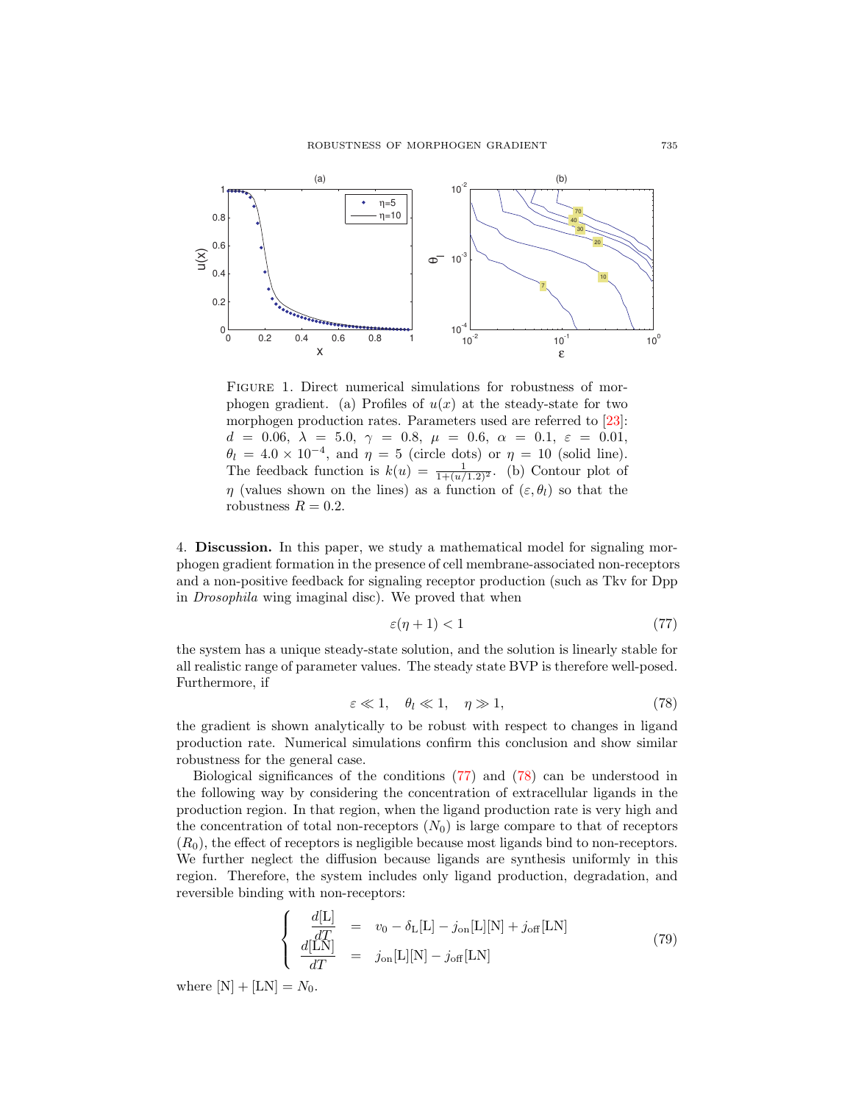

<span id="page-14-0"></span>FIGURE 1. Direct numerical simulations for robustness of morphogen gradient. (a) Profiles of  $u(x)$  at the steady-state for two morphogen production rates. Parameters used are referred to [\[23\]](#page-18-10): d = 0.06,  $\lambda = 5.0, \gamma = 0.8, \mu = 0.6, \alpha = 0.1, \varepsilon = 0.01,$  $\theta_l = 4.0 \times 10^{-4}$ , and  $\eta = 5$  (circle dots) or  $\eta = 10$  (solid line). The feedback function is  $k(u) = \frac{1}{1 + (u/1.2)^2}$ . (b) Contour plot of  $\eta$  (values shown on the lines) as a function of  $(\varepsilon, \theta_l)$  so that the robustness  $R = 0.2$ .

4. Discussion. In this paper, we study a mathematical model for signaling morphogen gradient formation in the presence of cell membrane-associated non-receptors and a non-positive feedback for signaling receptor production (such as Tkv for Dpp in Drosophila wing imaginal disc). We proved that when

<span id="page-14-1"></span>
$$
\varepsilon(\eta + 1) < 1\tag{77}
$$

the system has a unique steady-state solution, and the solution is linearly stable for all realistic range of parameter values. The steady state BVP is therefore well-posed. Furthermore, if

<span id="page-14-2"></span>
$$
\varepsilon \ll 1, \quad \theta_l \ll 1, \quad \eta \gg 1,\tag{78}
$$

the gradient is shown analytically to be robust with respect to changes in ligand production rate. Numerical simulations confirm this conclusion and show similar robustness for the general case.

Biological significances of the conditions [\(77\)](#page-14-1) and [\(78\)](#page-14-2) can be understood in the following way by considering the concentration of extracellular ligands in the production region. In that region, when the ligand production rate is very high and the concentration of total non-receptors  $(N_0)$  is large compare to that of receptors  $(R_0)$ , the effect of receptors is negligible because most ligands bind to non-receptors. We further neglect the diffusion because ligands are synthesis uniformly in this region. Therefore, the system includes only ligand production, degradation, and reversible binding with non-receptors:

<span id="page-14-3"></span>
$$
\begin{cases}\n\frac{d[\mathcal{L}]}{dT} = v_0 - \delta_{\mathcal{L}}[\mathcal{L}] - j_{\text{on}}[\mathcal{L}][\mathcal{N}] + j_{\text{off}}[\mathcal{L}\mathcal{N}] \\
\frac{d[\mathcal{L}\mathcal{N}]}{dT} = j_{\text{on}}[\mathcal{L}][\mathcal{N}] - j_{\text{off}}[\mathcal{L}\mathcal{N}]\n\end{cases} (79)
$$

where  $[N] + [LN] = N_0$ .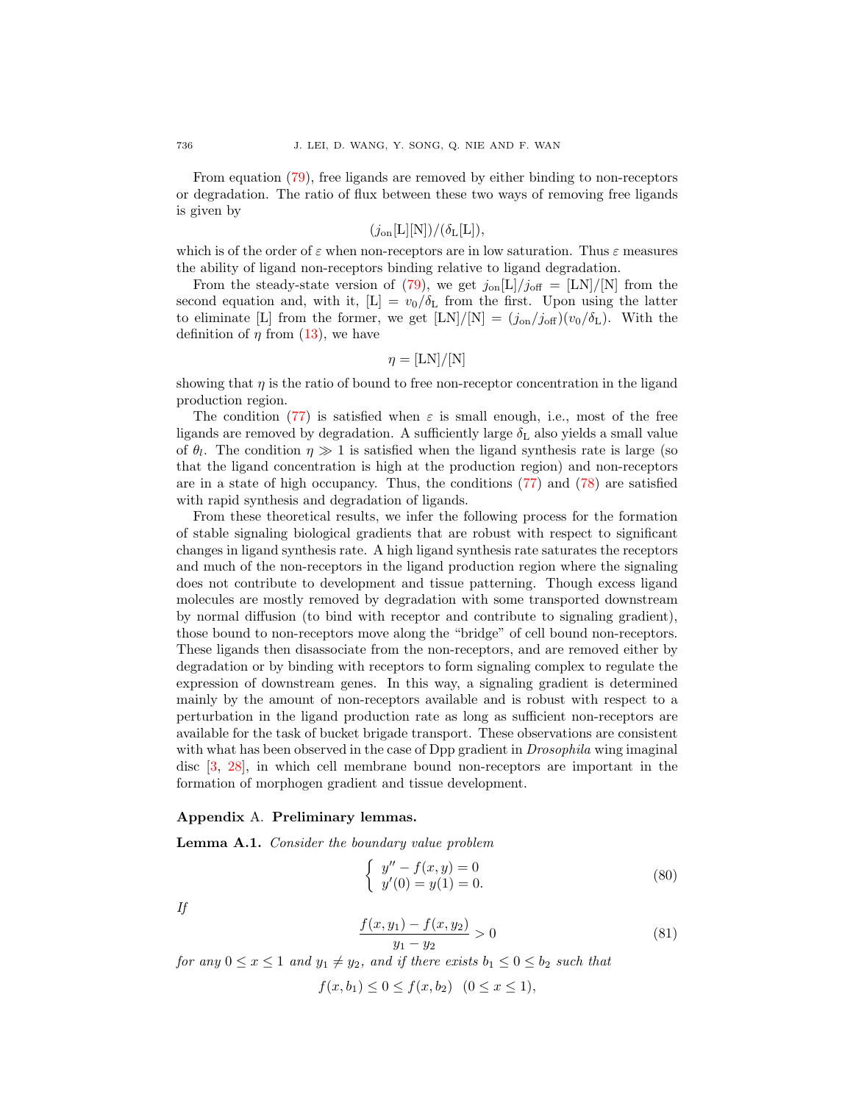From equation [\(79\)](#page-14-3), free ligands are removed by either binding to non-receptors or degradation. The ratio of flux between these two ways of removing free ligands is given by

$$
(j_{\rm on}[L][N])/(\delta_{L}[L]),
$$

which is of the order of  $\varepsilon$  when non-receptors are in low saturation. Thus  $\varepsilon$  measures the ability of ligand non-receptors binding relative to ligand degradation.

From the steady-state version of [\(79\)](#page-14-3), we get  $j_{on}[\text{L}]/j_{off} = [\text{LN}]/[\text{N}]$  from the second equation and, with it,  $[L] = v_0/\delta_L$  from the first. Upon using the latter to eliminate [L] from the former, we get  $[LN]/[N] = (j_{on}/j_{off})(v_0/\delta_{\rm L})$ . With the definition of  $\eta$  from [\(13\)](#page-3-2), we have

$$
\eta = [\text{LN}]/[\text{N}]
$$

showing that  $\eta$  is the ratio of bound to free non-receptor concentration in the ligand production region.

The condition [\(77\)](#page-14-1) is satisfied when  $\varepsilon$  is small enough, i.e., most of the free ligands are removed by degradation. A sufficiently large  $\delta_{\rm L}$  also yields a small value of  $\theta_l$ . The condition  $\eta \gg 1$  is satisfied when the ligand synthesis rate is large (so that the ligand concentration is high at the production region) and non-receptors are in a state of high occupancy. Thus, the conditions [\(77\)](#page-14-1) and [\(78\)](#page-14-2) are satisfied with rapid synthesis and degradation of ligands.

From these theoretical results, we infer the following process for the formation of stable signaling biological gradients that are robust with respect to significant changes in ligand synthesis rate. A high ligand synthesis rate saturates the receptors and much of the non-receptors in the ligand production region where the signaling does not contribute to development and tissue patterning. Though excess ligand molecules are mostly removed by degradation with some transported downstream by normal diffusion (to bind with receptor and contribute to signaling gradient), those bound to non-receptors move along the "bridge" of cell bound non-receptors. These ligands then disassociate from the non-receptors, and are removed either by degradation or by binding with receptors to form signaling complex to regulate the expression of downstream genes. In this way, a signaling gradient is determined mainly by the amount of non-receptors available and is robust with respect to a perturbation in the ligand production rate as long as sufficient non-receptors are available for the task of bucket brigade transport. These observations are consistent with what has been observed in the case of Dpp gradient in *Drosophila* wing imaginal disc [\[3,](#page-17-1) [28\]](#page-18-17), in which cell membrane bound non-receptors are important in the formation of morphogen gradient and tissue development.

### Appendix A. Preliminary lemmas.

<span id="page-15-0"></span>**Lemma A.1.** Consider the boundary value problem

<span id="page-15-1"></span>
$$
\begin{cases}\ny'' - f(x, y) = 0 \\
y'(0) = y(1) = 0.\n\end{cases}
$$
\n(80)

If

$$
\frac{f(x,y_1) - f(x,y_2)}{y_1 - y_2} > 0
$$
\n(81)

for any  $0 \le x \le 1$  and  $y_1 \ne y_2$ , and if there exists  $b_1 \le 0 \le b_2$  such that

 $f(x, b_1) < 0 < f(x, b_2)$   $(0 < x < 1)$ ,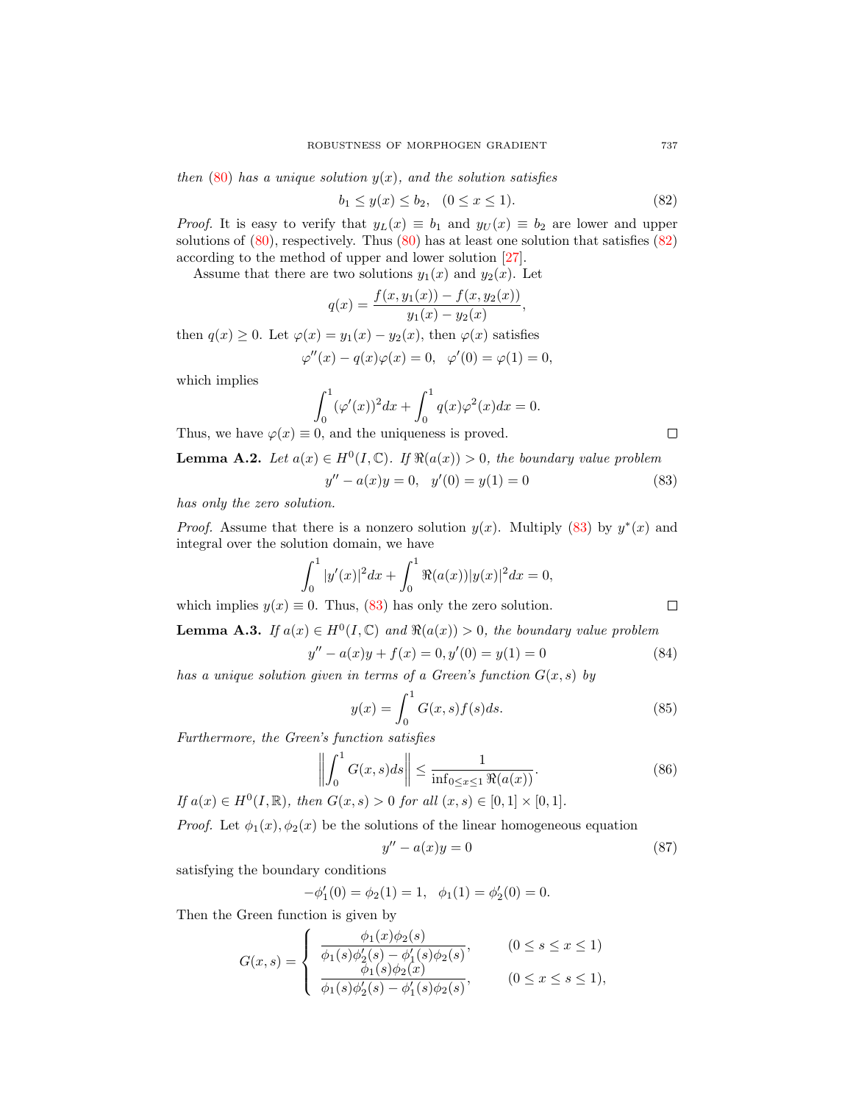then  $(80)$  has a unique solution  $y(x)$ , and the solution satisfies

<span id="page-16-2"></span>
$$
b_1 \le y(x) \le b_2, \quad (0 \le x \le 1). \tag{82}
$$

*Proof.* It is easy to verify that  $y_L(x) \equiv b_1$  and  $y_U(x) \equiv b_2$  are lower and upper solutions of  $(80)$ , respectively. Thus  $(80)$  has at least one solution that satisfies  $(82)$ according to the method of upper and lower solution [\[27\]](#page-18-16).

Assume that there are two solutions  $y_1(x)$  and  $y_2(x)$ . Let

$$
q(x) = \frac{f(x, y_1(x)) - f(x, y_2(x))}{y_1(x) - y_2(x)},
$$

then  $q(x) \geq 0$ . Let  $\varphi(x) = y_1(x) - y_2(x)$ , then  $\varphi(x)$  satisfies

$$
\varphi''(x) - q(x)\varphi(x) = 0, \quad \varphi'(0) = \varphi(1) = 0,
$$

which implies

$$
\int_0^1 (\varphi'(x))^2 dx + \int_0^1 q(x)\varphi^2(x) dx = 0.
$$

Thus, we have  $\varphi(x) \equiv 0$ , and the uniqueness is proved.

<span id="page-16-1"></span>**Lemma A.2.** Let  $a(x) \in H^0(I, \mathbb{C})$ . If  $\Re(a(x)) > 0$ , the boundary value problem

<span id="page-16-3"></span>
$$
y'' - a(x)y = 0, \quad y'(0) = y(1) = 0 \tag{83}
$$

has only the zero solution.

*Proof.* Assume that there is a nonzero solution  $y(x)$ . Multiply [\(83\)](#page-16-3) by  $y^*(x)$  and integral over the solution domain, we have

$$
\int_0^1 |y'(x)|^2 dx + \int_0^1 \Re(a(x)) |y(x)|^2 dx = 0,
$$

which implies  $y(x) \equiv 0$ . Thus, [\(83\)](#page-16-3) has only the zero solution.

<span id="page-16-0"></span>**Lemma A.3.** If  $a(x) \in H^0(I, \mathbb{C})$  and  $\Re(a(x)) > 0$ , the boundary value problem

$$
'' - a(x)y + f(x) = 0, y'(0) = y(1) = 0
$$
\n(84)

has a unique solution given in terms of a Green's function  $G(x, s)$  by

<span id="page-16-4"></span>
$$
y(x) = \int_0^1 G(x, s) f(s) ds.
$$
 (85)

Furthermore, the Green's function satisfies

<span id="page-16-5"></span> $\mathcal{Y}$ 

<span id="page-16-6"></span>
$$
\left\| \int_0^1 G(x, s) ds \right\| \le \frac{1}{\inf_{0 \le x \le 1} \Re(a(x))}.
$$
 (86)

If  $a(x) \in H^0(I, \mathbb{R})$ , then  $G(x, s) > 0$  for all  $(x, s) \in [0, 1] \times [0, 1]$ .

 $\mathfrak{p}$ 

*Proof.* Let  $\phi_1(x), \phi_2(x)$  be the solutions of the linear homogeneous equation

$$
y'' - a(x)y = 0 \tag{87}
$$

satisfying the boundary conditions

$$
-\phi'_1(0) = \phi_2(1) = 1, \quad \phi_1(1) = \phi'_2(0) = 0.
$$

Then the Green function is given by

 $\sim$ 

$$
G(x,s) = \begin{cases} \frac{\phi_1(x)\phi_2(s)}{\phi_1(s)\phi_2'(s) - \phi_1'(s)\phi_2(s)}, & (0 \le s \le x \le 1) \\ \frac{\phi_1(s)\phi_2(x)}{\phi_1(s)\phi_2'(s) - \phi_1'(s)\phi_2(s)}, & (0 \le x \le s \le 1), \end{cases}
$$

 $\Box$ 

 $\Box$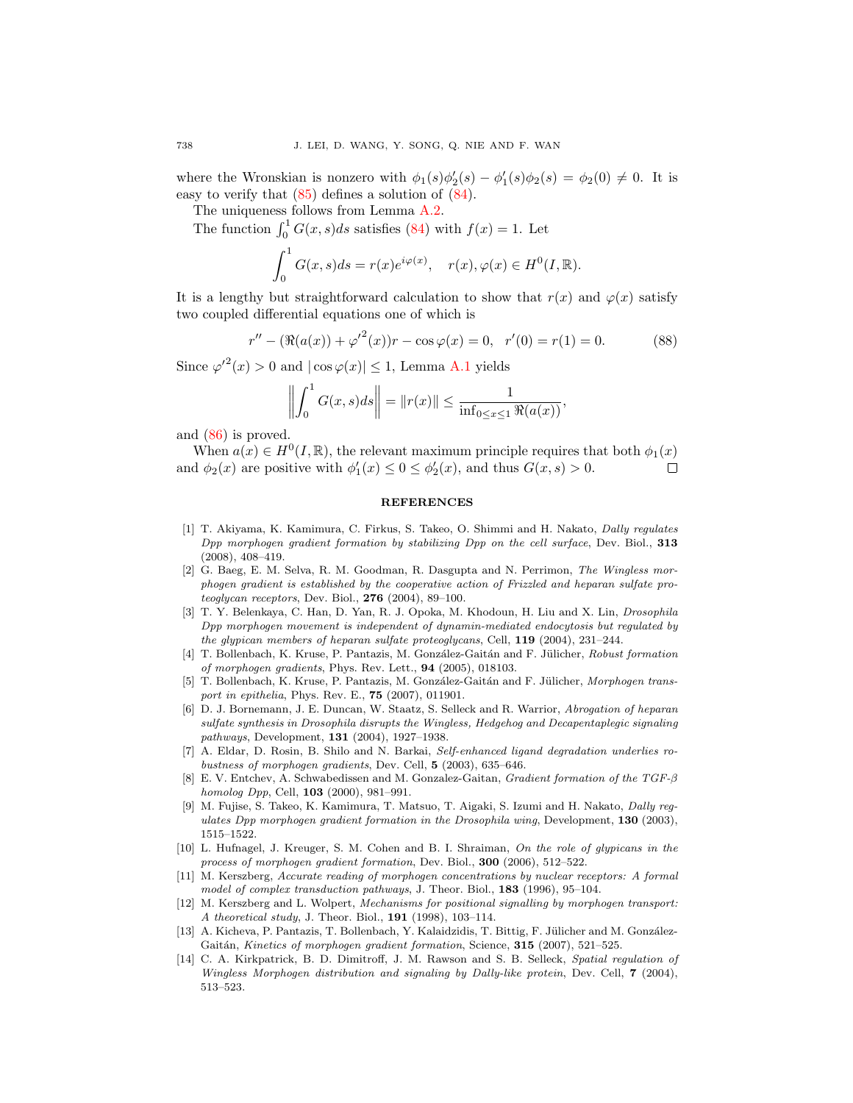where the Wronskian is nonzero with  $\phi_1(s)\phi_2'(s) - \phi_1'(s)\phi_2(s) = \phi_2(0) \neq 0$ . It is easy to verify that [\(85\)](#page-16-4) defines a solution of [\(84\)](#page-16-5).

The uniqueness follows from Lemma [A.2.](#page-16-1)

The function  $\int_0^1 G(x, s)ds$  satisfies [\(84\)](#page-16-5) with  $f(x) = 1$ . Let

$$
\int_0^1 G(x,s)ds = r(x)e^{i\varphi(x)}, \quad r(x), \varphi(x) \in H^0(I, \mathbb{R}).
$$

It is a lengthy but straightforward calculation to show that  $r(x)$  and  $\varphi(x)$  satisfy two coupled differential equations one of which is

$$
r'' - (\Re(a(x)) + {\varphi'}^{2}(x))r - \cos\varphi(x) = 0, \ \ r'(0) = r(1) = 0.
$$
 (88)

Since  $\varphi'^2(x) > 0$  and  $|\cos \varphi(x)| \leq 1$ , Lemma [A.1](#page-15-0) yields

$$
\left\| \int_0^1 G(x, s) ds \right\| = \|r(x)\| \le \frac{1}{\inf_{0 \le x \le 1} \Re(a(x))},
$$

and [\(86\)](#page-16-6) is proved.

When  $a(x) \in H^0(I, \mathbb{R})$ , the relevant maximum principle requires that both  $\phi_1(x)$ and  $\phi_2(x)$  are positive with  $\phi'_1(x) \leq 0 \leq \phi'_2(x)$ , and thus  $G(x, s) > 0$ . □

### **REFERENCES**

- <span id="page-17-11"></span>[1] T. Akiyama, K. Kamimura, C. Firkus, S. Takeo, O. Shimmi and H. Nakato, Dally regulates Dpp morphogen gradient formation by stabilizing Dpp on the cell surface, Dev. Biol., 313 (2008), 408–419.
- <span id="page-17-0"></span>[2] G. Baeg, E. M. Selva, R. M. Goodman, R. Dasgupta and N. Perrimon, The Wingless morphogen gradient is established by the cooperative action of Frizzled and heparan sulfate proteoglycan receptors, Dev. Biol.,  $276$  (2004), 89-100.
- <span id="page-17-1"></span>[3] T. Y. Belenkaya, C. Han, D. Yan, R. J. Opoka, M. Khodoun, H. Liu and X. Lin, Drosophila Dpp morphogen movement is independent of dynamin-mediated endocytosis but regulated by the glypican members of heparan sulfate proteoglycans, Cell,  $119$  (2004), 231–244.
- <span id="page-17-10"></span>[4] T. Bollenbach, K. Kruse, P. Pantazis, M. González-Gaitán and F. Jülicher, Robust formation of morphogen gradients, Phys. Rev. Lett., 94 (2005), 018103.
- <span id="page-17-7"></span>[5] T. Bollenbach, K. Kruse, P. Pantazis, M. González-Gaitán and F. Jülicher, Morphogen transport in epithelia, Phys. Rev. E., **75** (2007), 011901.
- <span id="page-17-12"></span>[6] D. J. Bornemann, J. E. Duncan, W. Staatz, S. Selleck and R. Warrior, Abrogation of heparan sulfate synthesis in Drosophila disrupts the Wingless, Hedgehog and Decapentaplegic signaling pathways, Development, 131 (2004), 1927–1938.
- <span id="page-17-2"></span>[7] A. Eldar, D. Rosin, B. Shilo and N. Barkai, Self-enhanced ligand degradation underlies robustness of morphogen gradients, Dev. Cell, 5 (2003), 635–646.
- <span id="page-17-3"></span>[8] E. V. Entchev, A. Schwabedissen and M. Gonzalez-Gaitan, Gradient formation of the TGF-β homolog Dpp, Cell, 103 (2000), 981–991.
- <span id="page-17-4"></span>[9] M. Fujise, S. Takeo, K. Kamimura, T. Matsuo, T. Aigaki, S. Izumi and H. Nakato, Dally regulates Dpp morphogen gradient formation in the Drosophila wing, Development, 130 (2003), 1515–1522.
- <span id="page-17-13"></span>[10] L. Hufnagel, J. Kreuger, S. M. Cohen and B. I. Shraiman, On the role of glypicans in the process of morphogen gradient formation, Dev. Biol., 300 (2006), 512–522.
- <span id="page-17-8"></span>[11] M. Kerszberg, Accurate reading of morphogen concentrations by nuclear receptors: A formal model of complex transduction pathways, J. Theor. Biol., 183 (1996), 95–104.
- <span id="page-17-9"></span>[12] M. Kerszberg and L. Wolpert, Mechanisms for positional signalling by morphogen transport: A theoretical study, J. Theor. Biol., 191 (1998), 103–114.
- <span id="page-17-5"></span>[13] A. Kicheva, P. Pantazis, T. Bollenbach, Y. Kalaidzidis, T. Bittig, F. Jülicher and M. González-Gaitán, Kinetics of morphogen gradient formation, Science,  $315$  (2007), 521–525.
- <span id="page-17-6"></span>[14] C. A. Kirkpatrick, B. D. Dimitroff, J. M. Rawson and S. B. Selleck, Spatial regulation of Wingless Morphogen distribution and signaling by Dally-like protein, Dev. Cell, 7 (2004), 513–523.